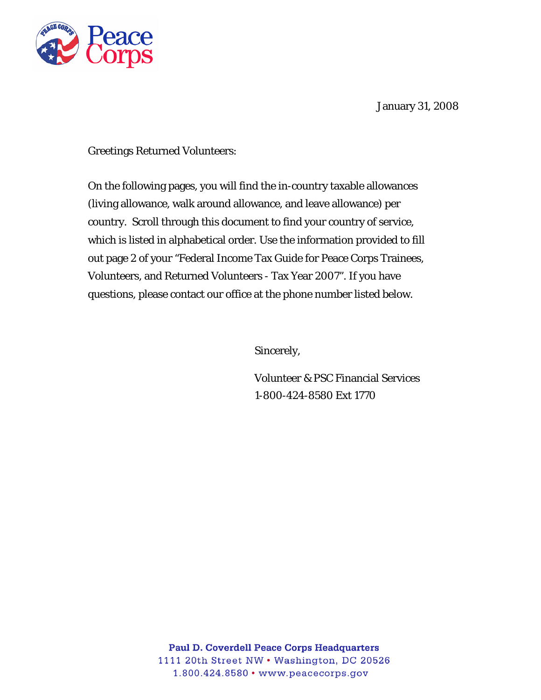

January 31, 2008

Greetings Returned Volunteers:

On the following pages, you will find the in-country taxable allowances (living allowance, walk around allowance, and leave allowance) per country. Scroll through this document to find your country of service, which is listed in alphabetical order. Use the information provided to fill out page 2 of your "Federal Income Tax Guide for Peace Corps Trainees, Volunteers, and Returned Volunteers - Tax Year 2007". If you have questions, please contact our office at the phone number listed below.

Sincerely,

Volunteer & PSC Financial Services 1-800-424-8580 Ext 1770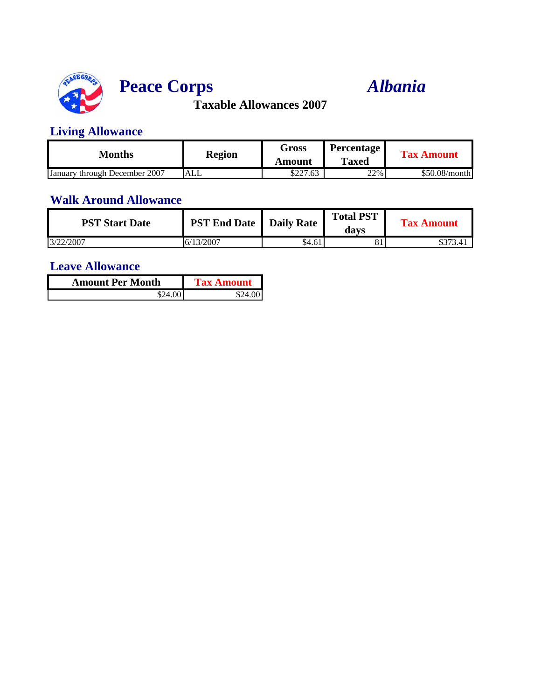

# **Peace Corps** *Albania*

**Taxable Allowances 2007**

### **Living Allowance**

| Months                        | <b>Region</b> | Gross    | <b>Percentage</b> | <b>Tax Amount</b> |
|-------------------------------|---------------|----------|-------------------|-------------------|
|                               |               | Amount   | <b>Taxed</b>      |                   |
| January through December 2007 | <b>ALL</b>    | \$227.63 | 22%               | \$50.08/month     |

#### **Walk Around Allowance**

| <b>PST Start Date</b> | <b>PST End Date</b>   Daily Rate |        | <b>Total PST</b><br>davs | <b>Tax Amount</b> |
|-----------------------|----------------------------------|--------|--------------------------|-------------------|
| 3/22/2007             | 16/13/2007                       | \$4.61 |                          | \$373.4           |

| <b>Amount Per Month</b> | <b>Tax Amount</b> |  |
|-------------------------|-------------------|--|
| \$24.00                 | \$24.001          |  |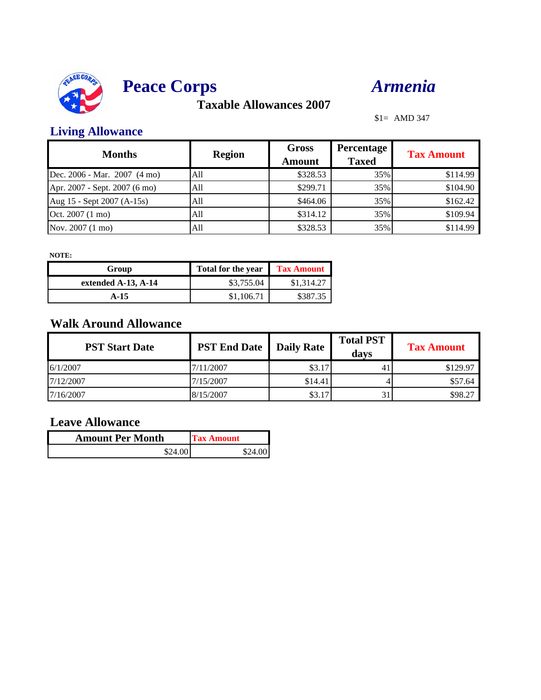



\$1= AMD 347

### **Living Allowance**

| <b>Months</b>                 | <b>Region</b> | <b>Gross</b><br><b>Amount</b> | <b>Percentage</b><br><b>Taxed</b> | <b>Tax Amount</b> |
|-------------------------------|---------------|-------------------------------|-----------------------------------|-------------------|
| Dec. 2006 - Mar. 2007 (4 mo)  | All           | \$328.53                      | 35%                               | \$114.99          |
| Apr. 2007 - Sept. 2007 (6 mo) | All           | \$299.71                      | 35%                               | \$104.90          |
| Aug 15 - Sept 2007 (A-15s)    | All           | \$464.06                      | 35%                               | \$162.42          |
| Oct. 2007 (1 mo)              | All           | \$314.12                      | 35%                               | \$109.94          |
| Nov. 2007 (1 mo)              | All           | \$328.53                      | 35%                               | \$114.99          |

**NOTE:**

| Group               | <b>Total for the year</b> | <b>Tax Amount</b> |
|---------------------|---------------------------|-------------------|
| extended A-13, A-14 | \$3,755.04                | \$1,314.27        |
| A-15                | \$1,106.71                | \$387.35          |

### **Walk Around Allowance**

| <b>PST Start Date</b> | <b>PST End Date</b> | <b>Daily Rate</b> | <b>Total PST</b><br>davs | <b>Tax Amount</b> |
|-----------------------|---------------------|-------------------|--------------------------|-------------------|
| 6/1/2007              | 7/11/2007           | \$3.17            |                          | \$129.97          |
| 7/12/2007             | 7/15/2007           | \$14.41           |                          | \$57.64           |
| 7/16/2007             | 8/15/2007           | \$3.17            | 31                       | \$98.27           |

| <b>Amount Per Month</b> | <b>Tax Amount</b> |  |
|-------------------------|-------------------|--|
| \$24.00                 | \$24.00           |  |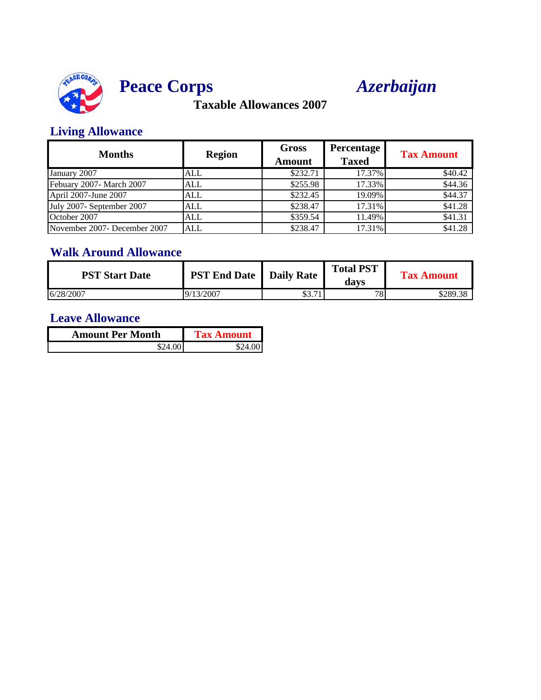



### **Living Allowance**

| <b>Months</b>                | <b>Region</b> | <b>Gross</b><br><b>Amount</b> | Percentage<br><b>Taxed</b> | <b>Tax Amount</b> |
|------------------------------|---------------|-------------------------------|----------------------------|-------------------|
| January 2007                 | ALL           | \$232.71                      | 17.37%                     | \$40.42           |
| Febuary 2007- March 2007     | <b>ALL</b>    | \$255.98                      | 17.33%                     | \$44.36           |
| April 2007-June 2007         | ALL           | \$232.45                      | 19.09%                     | \$44.37           |
| July 2007- September 2007    | <b>ALL</b>    | \$238.47                      | 17.31%                     | \$41.28           |
| October 2007                 | <b>ALL</b>    | \$359.54                      | 11.49%                     | \$41.31           |
| November 2007- December 2007 | <b>ALL</b>    | \$238.47                      | 17.31%                     | \$41.28           |

### **Walk Around Allowance**

| <b>PST Start Date</b> | <b>PST End Date</b>   Daily Rate |                  | <b>Total PST</b><br>davs | Tax Amount |
|-----------------------|----------------------------------|------------------|--------------------------|------------|
| 6/28/2007             | 13/2007<br>$\vert 9 \rangle$     | 71<br>ሰሳ<br>JJ.1 | 78.                      | \$289.38   |

| <b>Amount Per Month</b> | <b>Tax Amount</b> |  |
|-------------------------|-------------------|--|
| \$24.00                 | S')4              |  |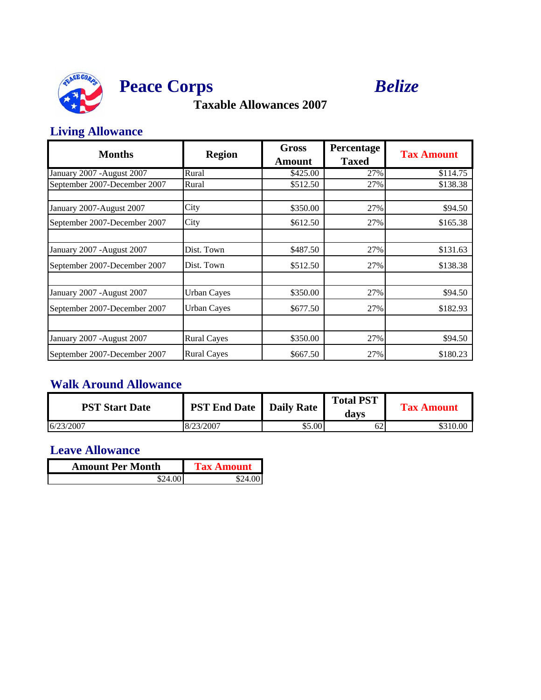



### **Living Allowance**

| <b>Months</b>                | <b>Region</b>      | <b>Gross</b><br><b>Amount</b> | Percentage<br><b>Taxed</b> | <b>Tax Amount</b> |
|------------------------------|--------------------|-------------------------------|----------------------------|-------------------|
| January 2007 - August 2007   | Rural              | \$425.00                      | 27%                        | \$114.75          |
| September 2007-December 2007 | Rural              | \$512.50                      | 27%                        | \$138.38          |
| January 2007-August 2007     | City               | \$350.00                      | 27%                        | \$94.50           |
| September 2007-December 2007 | City               | \$612.50                      | 27%                        | \$165.38          |
| January 2007 - August 2007   | Dist. Town         | \$487.50                      | 27%                        | \$131.63          |
| September 2007-December 2007 | Dist. Town         | \$512.50                      | 27%                        | \$138.38          |
| January 2007 - August 2007   | <b>Urban Cayes</b> | \$350.00                      | 27%                        | \$94.50           |
| September 2007-December 2007 | <b>Urban Cayes</b> | \$677.50                      | 27%                        | \$182.93          |
|                              |                    |                               |                            |                   |
| January 2007 - August 2007   | <b>Rural Cayes</b> | \$350.00                      | 27%                        | \$94.50           |
| September 2007-December 2007 | <b>Rural Cayes</b> | \$667.50                      | 27%                        | \$180.23          |

## **Walk Around Allowance**

| <b>PST Start Date</b> | <b>PST End Date</b> | Daily Rate | <b>Total PST</b><br>davs | <b>Tax Amount</b> |
|-----------------------|---------------------|------------|--------------------------|-------------------|
| 6/23/2007             | 18/23/2007          | \$5.00     | 62                       | \$310.00          |

| <b>Amount Per Month</b> | <b>Tax Amount</b> |
|-------------------------|-------------------|
|                         |                   |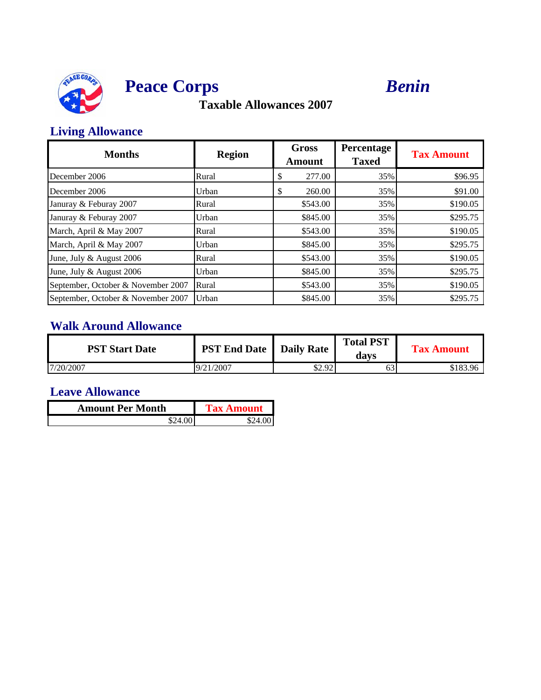



### **Living Allowance**

| <b>Months</b>                      | <b>Region</b> | <b>Gross</b><br><b>Amount</b> | Percentage<br><b>Taxed</b> | <b>Tax Amount</b> |
|------------------------------------|---------------|-------------------------------|----------------------------|-------------------|
| December 2006                      | Rural         | 277.00<br>D                   | 35%                        | \$96.95           |
| December 2006                      | Urban         | 260.00<br>S                   | 35%                        | \$91.00           |
| Januray & Feburay 2007             | Rural         | \$543.00                      | 35%                        | \$190.05          |
| Januray & Feburay 2007             | Urban         | \$845.00                      | 35%                        | \$295.75          |
| March, April & May 2007            | Rural         | \$543.00                      | 35%                        | \$190.05          |
| March, April & May 2007            | Urban         | \$845.00                      | 35%                        | \$295.75          |
| June, July & August 2006           | Rural         | \$543.00                      | 35%                        | \$190.05          |
| June, July & August 2006           | Urban         | \$845.00                      | 35%                        | \$295.75          |
| September, October & November 2007 | Rural         | \$543.00                      | 35%                        | \$190.05          |
| September, October & November 2007 | Urban         | \$845.00                      | 35%                        | \$295.75          |

## **Walk Around Allowance**

| <b>PST Start Date</b> | <b>PST End Date</b>   Daily Rate |        | <b>Total PST</b><br>davs | <b>Tax Amount</b> |
|-----------------------|----------------------------------|--------|--------------------------|-------------------|
| 7/20/2007             | 19/21/2007                       | \$2.92 |                          | \$183.96          |

| <b>Amount Per Month</b> | <b>Tax Amount</b> |  |
|-------------------------|-------------------|--|
| \$24.00L                |                   |  |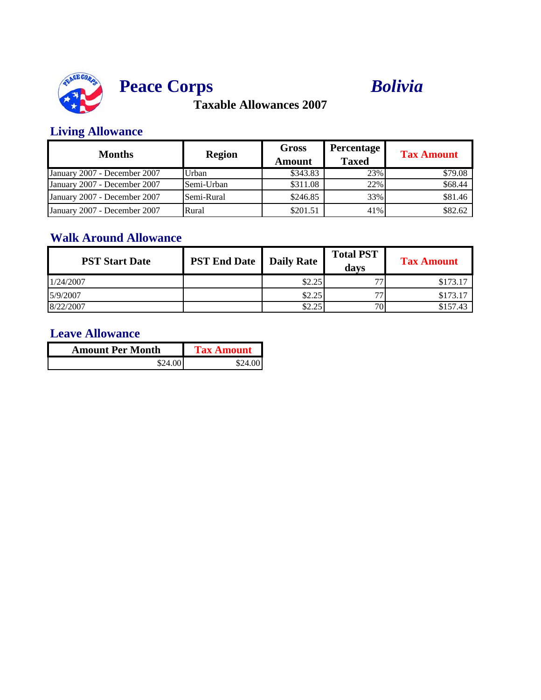



### **Living Allowance**

| <b>Months</b>                | <b>Region</b> | <b>Gross</b><br>Amount | <b>Percentage</b><br><b>Taxed</b> | <b>Tax Amount</b> |
|------------------------------|---------------|------------------------|-----------------------------------|-------------------|
| January 2007 - December 2007 | Urban         | \$343.83               | 23%                               | \$79.08           |
| January 2007 - December 2007 | Semi-Urban    | \$311.08               | 22%                               | \$68.44           |
| January 2007 - December 2007 | Semi-Rural    | \$246.85               | 33%                               | \$81.46           |
| January 2007 - December 2007 | Rural         | \$201.51               | 41%                               | \$82.62           |

### **Walk Around Allowance**

| <b>PST Start Date</b> | <b>PST End Date</b>   Daily Rate |        | <b>Total PST</b><br>davs | <b>Tax Amount</b> |
|-----------------------|----------------------------------|--------|--------------------------|-------------------|
| 1/24/2007             |                                  | \$2.25 | 77                       | \$173.17          |
| 5/9/2007              |                                  | \$2.25 | 77                       | \$173.17          |
| 8/22/2007             |                                  | \$2.25 | 70 <sub>1</sub>          | \$157.43          |

| <b>Amount Per Month</b> | <b>Tax Amount</b> |
|-------------------------|-------------------|
| \$24.00                 | \$24.001          |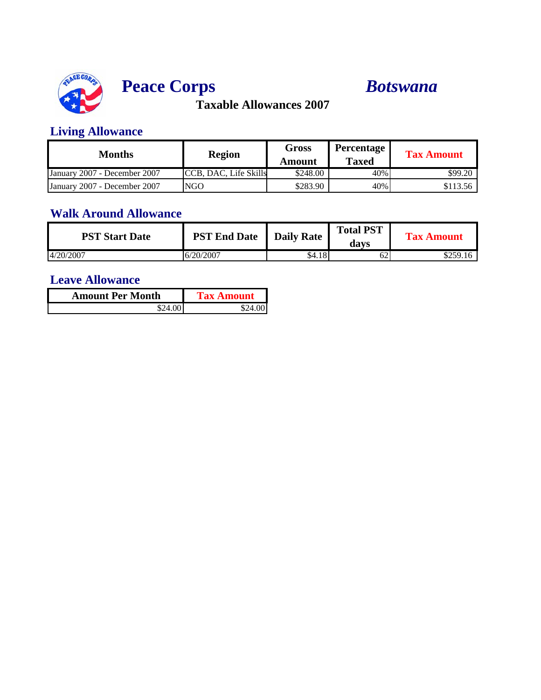

# **Peace Corps** *Botswana*

**Taxable Allowances 2007**

### **Living Allowance**

| Months                       | <b>Region</b>         | Gross<br>Amount | Percentage<br>Taxed | <b>Tax Amount</b> |
|------------------------------|-----------------------|-----------------|---------------------|-------------------|
| January 2007 - December 2007 | CCB, DAC, Life Skills | \$248.00        | 40%                 | \$99.20           |
| January 2007 - December 2007 | <b>NGO</b>            | \$283.90        | 40%                 | \$113.56          |

## **Walk Around Allowance**

| <b>PST Start Date</b> | <b>PST End Date</b> | <b>Daily Rate</b> | <b>Total PST</b><br>davs | <b>Tax Amount</b> |
|-----------------------|---------------------|-------------------|--------------------------|-------------------|
| 4/20/2007             | 6/20/2007           | \$4.18            | 62                       | \$259.16          |

| <b>Amount Per Month</b> | <b>Tax Amount</b> |
|-------------------------|-------------------|
|                         |                   |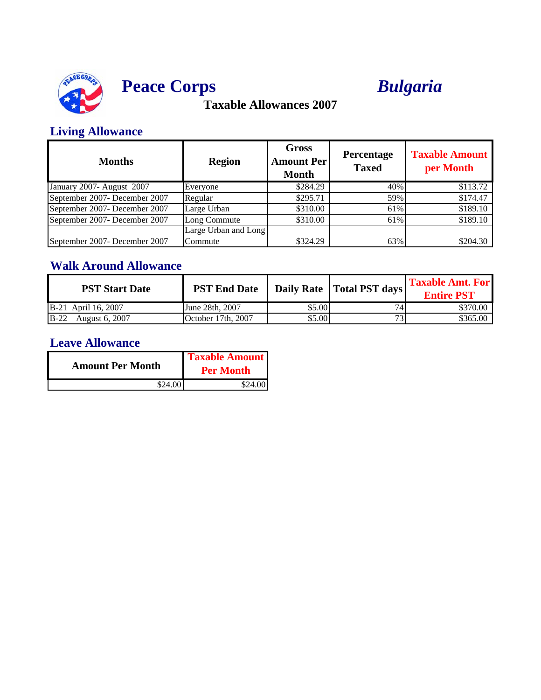

# **Peace Corps** *Bulgaria*

## **Taxable Allowances 2007**

## **Living Allowance**

| <b>Months</b>                 | <b>Region</b>        | <b>Gross</b><br><b>Amount Perl</b><br><b>Month</b> | Percentage<br><b>Taxed</b> | <b>Taxable Amount</b><br>per Month |
|-------------------------------|----------------------|----------------------------------------------------|----------------------------|------------------------------------|
| January 2007- August 2007     | Everyone             | \$284.29                                           | 40%                        | \$113.72                           |
| September 2007- December 2007 | Regular              | \$295.71                                           | 59%                        | \$174.47                           |
| September 2007- December 2007 | Large Urban          | \$310.00                                           | 61%                        | \$189.10                           |
| September 2007- December 2007 | Long Commute         | \$310.00                                           | 61%                        | \$189.10                           |
|                               | Large Urban and Long |                                                    |                            |                                    |
| September 2007- December 2007 | Commute              | \$324.29                                           | 63%                        | \$204.30                           |

### **Walk Around Allowance**

| <b>PST Start Date</b> | <b>PST End Date</b> |        | Daily Rate   Total PST days | <b>Taxable Amt. For</b><br><b>Entire PST</b> |
|-----------------------|---------------------|--------|-----------------------------|----------------------------------------------|
| B-21 April 16, 2007   | June 28th, 2007     | \$5.00 |                             | \$370.00                                     |
| B-22 August 6, 2007   | October 17th, 2007  | \$5.00 |                             | \$365.00                                     |

| <b>Amount Per Month</b> | <b>Taxable Amount</b><br><b>Per Month</b> |  |
|-------------------------|-------------------------------------------|--|
|                         |                                           |  |
| \$24.00                 | \$24.00 I                                 |  |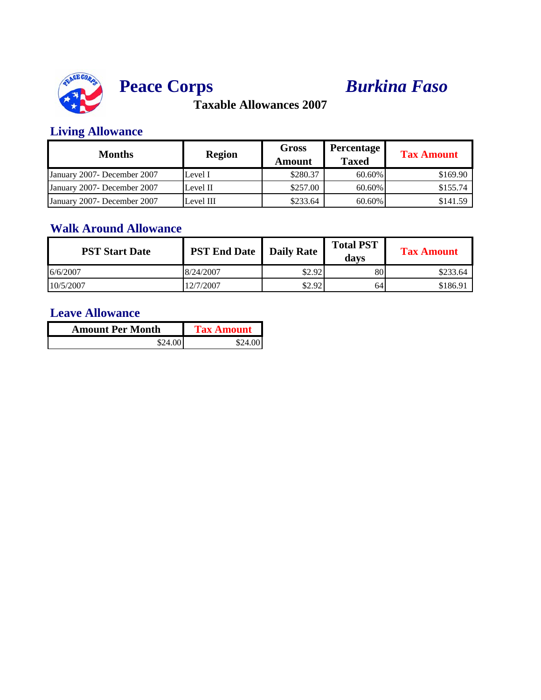



### **Living Allowance**

| <b>Months</b>                | <b>Region</b> | <b>Gross</b><br>Amount | Percentage<br><b>Taxed</b> | <b>Tax Amount</b> |
|------------------------------|---------------|------------------------|----------------------------|-------------------|
| January 2007- December 2007  | Level I       | \$280.37               | 60.60%                     | \$169.90          |
| January 2007- December 2007  | Level II      | \$257.00               | 60.60%                     | \$155.74          |
| January 2007 - December 2007 | Level III     | \$233.64               | 60.60%                     | \$141.59          |

#### **Walk Around Allowance**

| <b>PST Start Date</b> | <b>PST End Date</b> Daily Rate |        | <b>Total PST</b><br>davs | <b>Tax Amount</b> |
|-----------------------|--------------------------------|--------|--------------------------|-------------------|
| 6/6/2007              | 8/24/2007                      | \$2.92 | 80                       | \$233.64          |
| 10/5/2007             | 12/7/2007                      | \$2.92 | 64                       | \$186.91          |

| <b>Amount Per Month</b> | <b>Tax Amount</b> |
|-------------------------|-------------------|
| \$24.00                 | \$24.00           |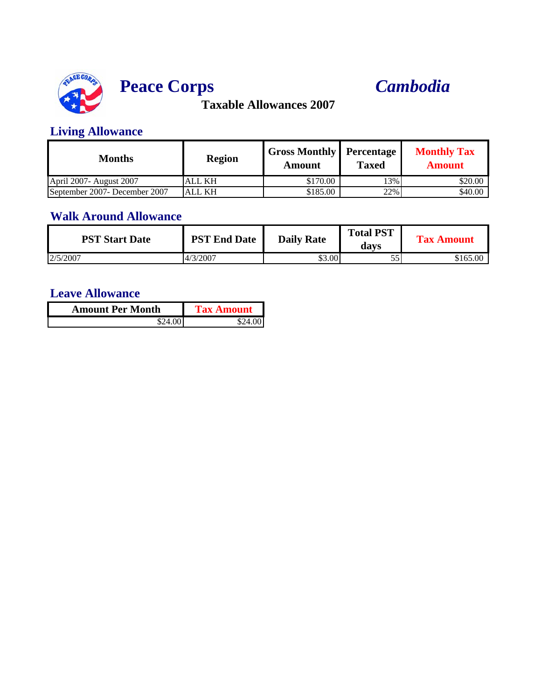



### **Living Allowance**

| Months                        | <b>Region</b> | <b>Gross Monthly Percentage</b><br>Amount | <b>Taxed</b> | <b>Monthly Tax</b><br>Amount |
|-------------------------------|---------------|-------------------------------------------|--------------|------------------------------|
| April 2007- August 2007       | <b>ALL KH</b> | \$170.00                                  | 13%          | \$20.00                      |
| September 2007- December 2007 | <b>ALL KH</b> | \$185.00                                  | 22%          | \$40.00                      |

### **Walk Around Allowance**

| <b>PST Start Date</b> | <b>PST End Date</b> | <b>Daily Rate</b> | <b>Total PST</b><br>davs | <b>Tax Amount</b> |
|-----------------------|---------------------|-------------------|--------------------------|-------------------|
| 2/5/2007              | 4/3/2007            | \$3.00            | ັບ                       | \$165.00          |

| <b>Amount Per Month</b> | <b>Tax Amount</b> |
|-------------------------|-------------------|
| \$24.00                 |                   |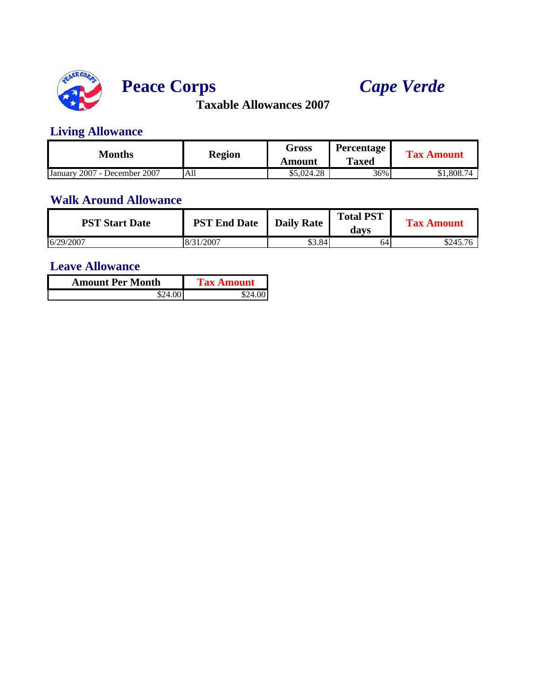

# **Peace Corps** *Cape Verde*

**Taxable Allowances 2007**

### **Living Allowance**

| Months                       | <b>Region</b> | Gross<br>Amount | <b>Percentage</b><br><b>Taxed</b> | <b>Tax Amount</b> |
|------------------------------|---------------|-----------------|-----------------------------------|-------------------|
| January 2007 - December 2007 | All           | \$5,024.28      | 36%                               | \$1,808.74        |

#### **Walk Around Allowance**

| <b>PST Start Date</b> | <b>PST End Date</b> | <b>Daily Rate</b> | <b>Total PST</b><br>davs | <b>Tax Amount</b> |
|-----------------------|---------------------|-------------------|--------------------------|-------------------|
| 6/29/2007             | 8/31/2007           | \$3.84            | 64                       | \$245.76          |

| <b>Amount Per Month</b> | <b>Tax Amount</b> |  |  |  |
|-------------------------|-------------------|--|--|--|
| \$24.00                 | \$24.00           |  |  |  |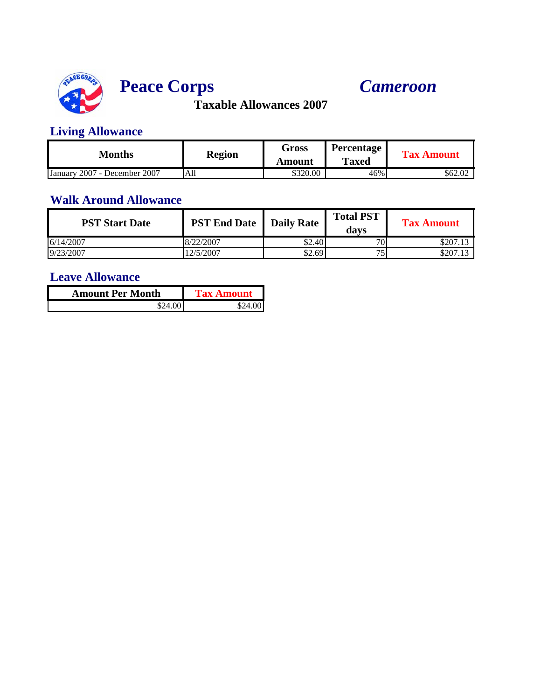

# **Peace Corps** *Cameroon*

**Taxable Allowances 2007**

### **Living Allowance**

| Months                       | <b>Region</b> | Gross<br>Amount | <b>Percentage</b><br><b>Taxed</b> | <b>Tax Amount</b> |
|------------------------------|---------------|-----------------|-----------------------------------|-------------------|
| January 2007 - December 2007 | All           | \$320.00        | 46%                               | \$62.02           |

#### **Walk Around Allowance**

| <b>PST Start Date</b> | <b>PST End Date</b> | <b>Daily Rate</b> | <b>Total PST</b><br>davs | <b>Tax Amount</b> |
|-----------------------|---------------------|-------------------|--------------------------|-------------------|
| 6/14/2007             | 8/22/2007           | \$2.40            | 70                       | \$207.13          |
| 9/23/2007             | 2/5/2007            | \$2.69            | 75                       | \$207.13          |

| <b>Amount Per Month</b> | <b>Tax Amount</b> |  |
|-------------------------|-------------------|--|
|                         |                   |  |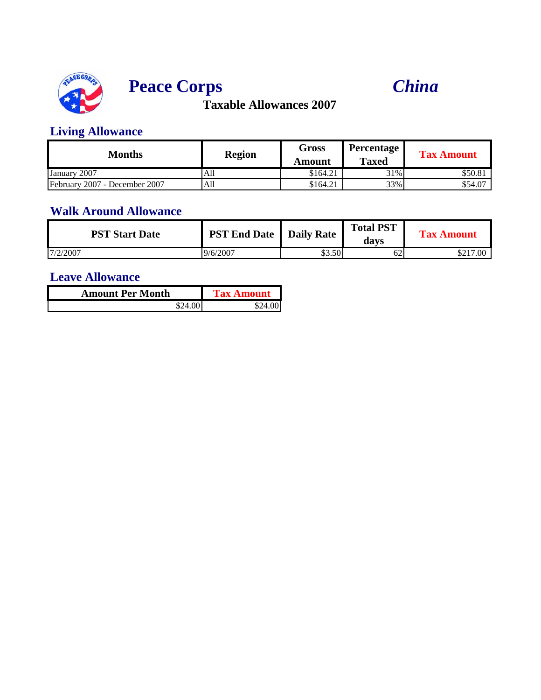





### **Living Allowance**

| <b>Months</b>                 | <b>Region</b> | Gross<br>Amount | <b>Percentage</b><br><b>Taxed</b> | <b>Tax Amount</b> |
|-------------------------------|---------------|-----------------|-----------------------------------|-------------------|
| January 2007                  | All           | \$164.21        | 31%                               | \$50.81           |
| February 2007 - December 2007 | All           | \$164.21        | 33%                               | \$54.07           |

## **Walk Around Allowance**

| <b>PST Start Date</b> | <b>PST End Date</b>   Daily Rate |        | <b>Total PST</b><br>davs | <b>Tax Amount</b> |
|-----------------------|----------------------------------|--------|--------------------------|-------------------|
| 7/2/2007              | 9/6/2007                         | \$3.50 | ΟZ                       | \$217.00          |

| <b>Amount Per Month</b> | <b>Tax Amount</b> |  |
|-------------------------|-------------------|--|
|                         |                   |  |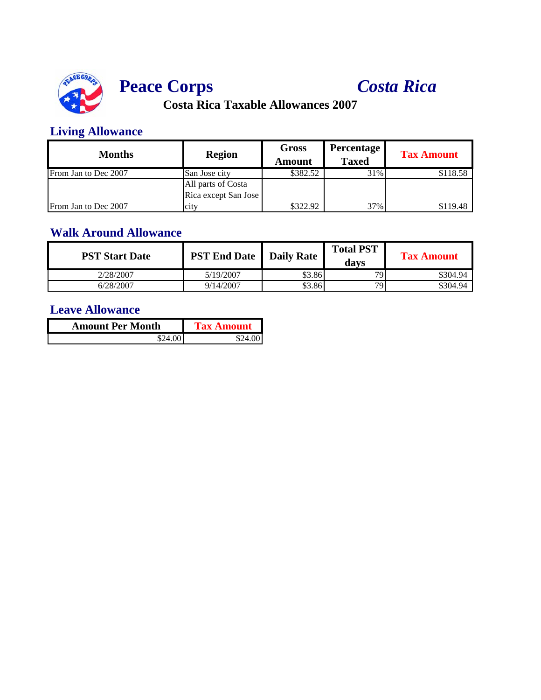

# **Peace Corps** *Costa Rica*

**Costa Rica Taxable Allowances 2007**

### **Living Allowance**

| <b>Months</b>        | <b>Region</b>        | <b>Gross</b><br>Amount | <b>Percentage</b><br><b>Taxed</b> | <b>Tax Amount</b> |
|----------------------|----------------------|------------------------|-----------------------------------|-------------------|
| From Jan to Dec 2007 | San Jose city        | \$382.52               | 31%                               | \$118.58          |
|                      | All parts of Costa   |                        |                                   |                   |
|                      | Rica except San Jose |                        |                                   |                   |
| From Jan to Dec 2007 | city                 | \$322.92               | 37%                               | \$119.48          |

#### **Walk Around Allowance**

| <b>PST Start Date</b> | <b>PST End Date   Daily Rate  </b> |        | <b>Total PST</b><br>davs | <b>Tax Amount</b> |
|-----------------------|------------------------------------|--------|--------------------------|-------------------|
| 2/28/2007             | 5/19/2007                          | \$3.86 | 70.                      | \$304.94          |
| 6/28/2007             | 9/14/2007                          | \$3.86 | 791                      | \$304.94          |

| <b>Amount Per Month</b> | <b>Tax Amount</b> |
|-------------------------|-------------------|
| \$24.00.I               | \$24.00I          |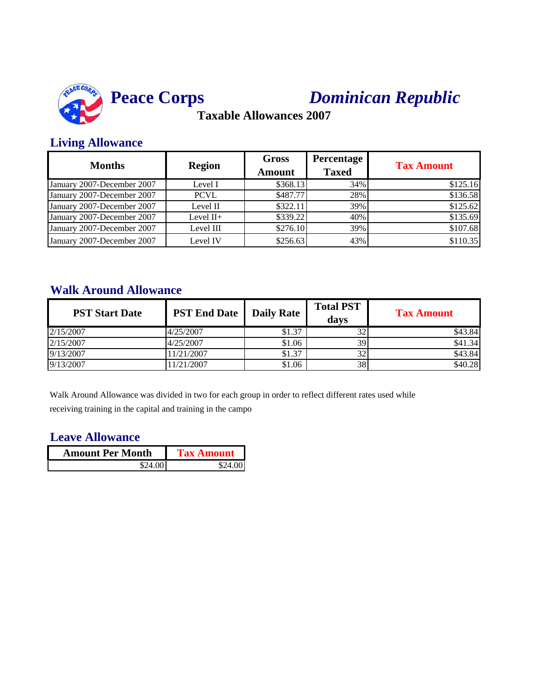

# *Dominican Republic*

**Taxable Allowances 2007**

#### **Living Allowance**

| <b>Months</b>              | <b>Region</b> | <b>Gross</b><br><b>Amount</b> | <b>Percentage</b><br><b>Taxed</b> | <b>Tax Amount</b> |
|----------------------------|---------------|-------------------------------|-----------------------------------|-------------------|
| January 2007-December 2007 | Level I       | \$368.13                      | 34%                               | \$125.16          |
| January 2007-December 2007 | <b>PCVL</b>   | \$487.77                      | 28%                               | \$136.58          |
| January 2007-December 2007 | Level II      | \$322.11                      | 39%                               | \$125.62          |
| January 2007-December 2007 | Level $II+$   | \$339.22                      | 40%                               | \$135.69          |
| January 2007-December 2007 | Level III     | \$276.10                      | 39%                               | \$107.68          |
| January 2007-December 2007 | Level IV      | \$256.63                      | 43%                               | \$110.35          |

#### **Walk Around Allowance**

| <b>PST Start Date</b> | <b>PST End Date</b> | <b>Daily Rate</b> | <b>Total PST</b><br>davs | <b>Tax Amount</b> |
|-----------------------|---------------------|-------------------|--------------------------|-------------------|
| 2/15/2007             | 4/25/2007           | \$1.37            | 32                       | \$43.84           |
| 2/15/2007             | 4/25/2007           | \$1.06            | 39                       | \$41.34           |
| 9/13/2007             | 1/21/2007           | \$1.37            | 32                       | \$43.84           |
| 9/13/2007             | 1/21/2007           | \$1.06            | 38                       | \$40.28           |

Walk Around Allowance was divided in two for each group in order to reflect different rates used while receiving training in the capital and training in the campo

| <b>Amount Per Month</b> | <b>Tax Amount</b> |  |
|-------------------------|-------------------|--|
| \$24.00I                | \$24.001          |  |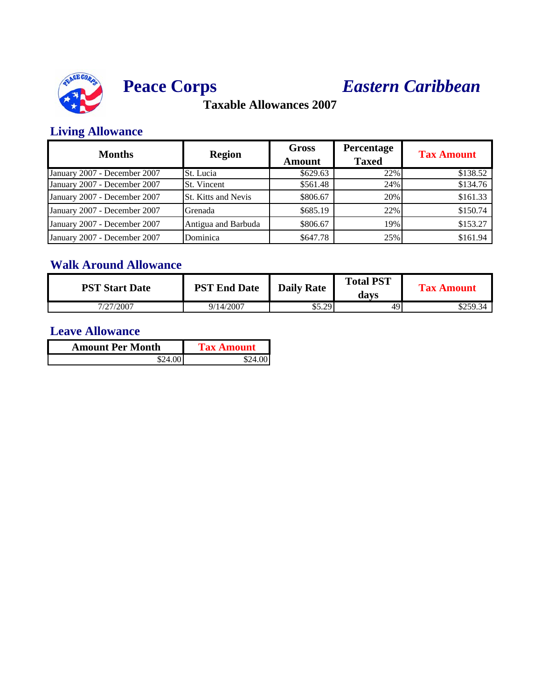



# **Peace Corps** *Eastern Caribbean*

**Taxable Allowances 2007**

### **Living Allowance**

| <b>Months</b>                | <b>Region</b>              | <b>Gross</b><br><b>Amount</b> | Percentage<br><b>Taxed</b> | <b>Tax Amount</b> |
|------------------------------|----------------------------|-------------------------------|----------------------------|-------------------|
| January 2007 - December 2007 | St. Lucia                  | \$629.63                      | 22%                        | \$138.52          |
| January 2007 - December 2007 | St. Vincent                | \$561.48                      | 24%                        | \$134.76          |
| January 2007 - December 2007 | <b>St. Kitts and Nevis</b> | \$806.67                      | 20%                        | \$161.33          |
| January 2007 - December 2007 | Grenada                    | \$685.19                      | 22%                        | \$150.74          |
| January 2007 - December 2007 | Antigua and Barbuda        | \$806.67                      | 19%                        | \$153.27          |
| January 2007 - December 2007 | Dominica                   | \$647.78                      | 25%                        | \$161.94          |

## **Walk Around Allowance**

| <b>PST Start Date</b> | <b>PST End Date</b> | <b>Daily Rate</b> | <b>Total PST</b><br>davs | <b>Tax Amount</b> |
|-----------------------|---------------------|-------------------|--------------------------|-------------------|
| 7/27/2007             | 9/14/2007           | \$5.29            | 49                       | \$259.34          |

| <b>Amount Per Month</b> | <b>Tax Amount</b> |
|-------------------------|-------------------|
| \$24.00                 | S24 OO            |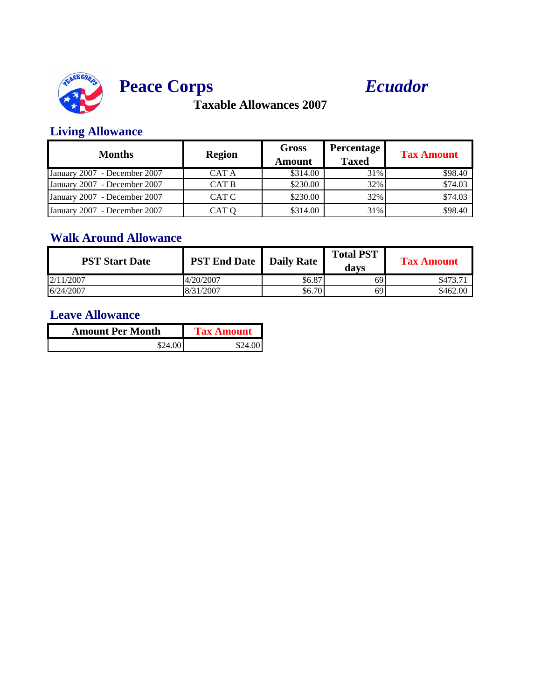



### **Living Allowance**

| <b>Months</b>                | <b>Region</b> | <b>Gross</b><br>Amount | <b>Percentage</b><br><b>Taxed</b> | <b>Tax Amount</b> |
|------------------------------|---------------|------------------------|-----------------------------------|-------------------|
| January 2007 - December 2007 | CAT A         | \$314.00               | 31%                               | \$98.40           |
| January 2007 - December 2007 | CAT B         | \$230.00               | 32%                               | \$74.03           |
| January 2007 - December 2007 | CAT C         | \$230.00               | 32%                               | \$74.03           |
| January 2007 - December 2007 | CAT O         | \$314.00               | 31%                               | \$98.40           |

### **Walk Around Allowance**

| <b>PST Start Date</b> | <b>PST End Date</b> Daily Rate |        | <b>Total PST</b><br>davs | <b>Tax Amount</b> |
|-----------------------|--------------------------------|--------|--------------------------|-------------------|
| 2/11/2007             | 4/20/2007                      | \$6.87 | 69                       | \$473.71          |
| 6/24/2007             | 8/31/2007                      | \$6.70 | 69                       | \$462.00          |

| <b>Amount Per Month</b> | <b>Tax Amount</b> |
|-------------------------|-------------------|
| \$24.00                 | \$24.00           |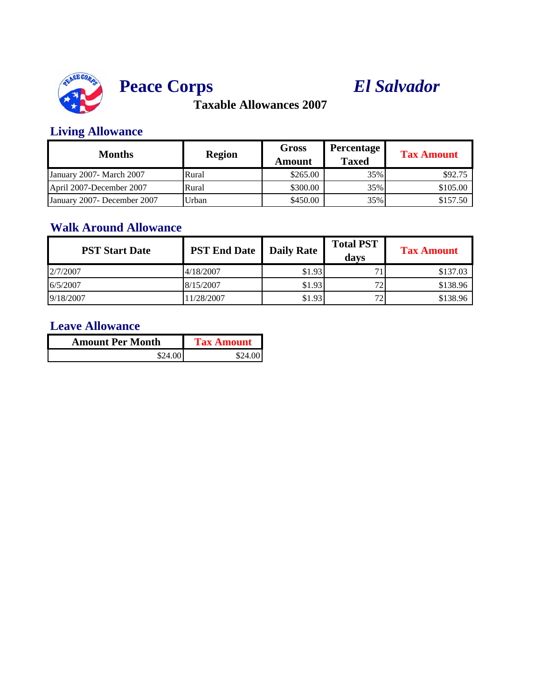



### **Living Allowance**

| <b>Months</b>               | <b>Region</b> | <b>Gross</b><br>Amount | Percentage<br><b>Taxed</b> | <b>Tax Amount</b> |
|-----------------------------|---------------|------------------------|----------------------------|-------------------|
| January 2007 - March 2007   | Rural         | \$265.00               | 35%                        | \$92.75           |
| April 2007-December 2007    | Rural         | \$300.00               | 35%                        | \$105.00          |
| January 2007- December 2007 | Urban         | \$450.00               | 35%                        | \$157.50          |

## **Walk Around Allowance**

| <b>PST Start Date</b> | <b>PST End Date</b>   Daily Rate |        | <b>Total PST</b><br>davs | <b>Tax Amount</b> |
|-----------------------|----------------------------------|--------|--------------------------|-------------------|
| 2/7/2007              | 4/18/2007                        | \$1.93 |                          | \$137.03          |
| 6/5/2007              | 8/15/2007                        | \$1.93 | 72                       | \$138.96          |
| 9/18/2007             | 1/28/2007                        | \$1.93 | 72                       | \$138.96          |

| <b>Amount Per Month</b> | <b>Tax Amount</b> |
|-------------------------|-------------------|
| \$24.00                 | \$24.001          |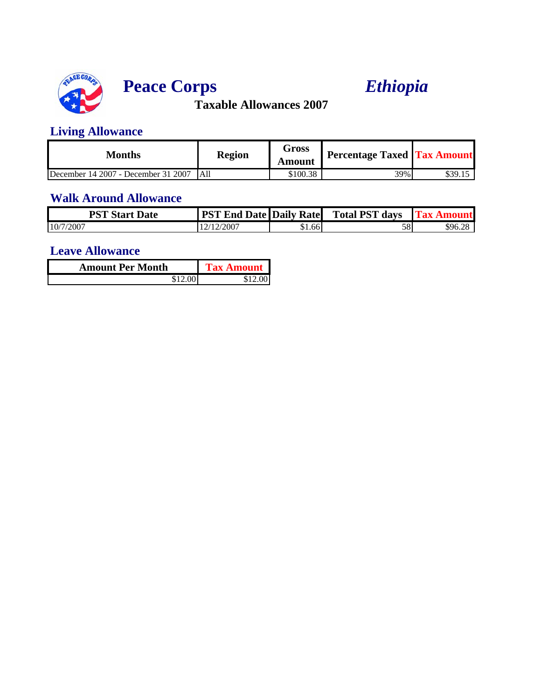

# **Peace Corps** *Ethiopia*

**Taxable Allowances 2007**

### **Living Allowance**

| Months                              | <b>Region</b> | Gross<br><b>Amount</b> | <b>Percentage Taxed Tax Amount</b> |         |
|-------------------------------------|---------------|------------------------|------------------------------------|---------|
| December 14 2007 - December 31 2007 | <b>LA11</b>   | \$100.38               | 39%                                | \$39.15 |

## **Walk Around Allowance**

| <b>PST Start Date</b> | <b>PST End Date Daily Rate</b> |        | <b>Total PST days</b> | - Fl'ax Amoun |
|-----------------------|--------------------------------|--------|-----------------------|---------------|
| 10/7/2007             | 12/12/2007                     | \$1.66 | 58                    | \$96.28       |

| <b>Amount Per Month</b> | <b>Tax Amount</b> |
|-------------------------|-------------------|
| \$12.00 I               | \$12.00           |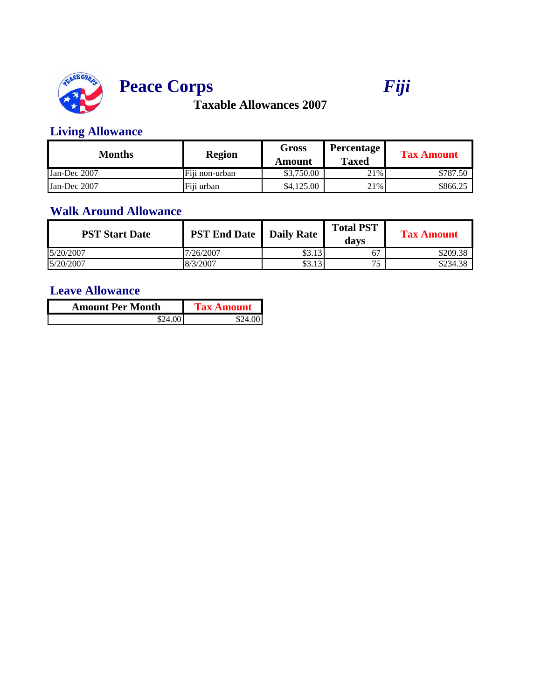

# **Peace Corps** *Fiji*

# **Taxable Allowances 2007**

### **Living Allowance**

| Months       | <b>Region</b>  | Gross<br>Amount | <b>Percentage</b><br><b>Taxed</b> | <b>Tax Amount</b> |
|--------------|----------------|-----------------|-----------------------------------|-------------------|
| Jan-Dec 2007 | Fiii non-urban | \$3,750.00      | 21%                               | \$787.50          |
| Jan-Dec 2007 | Fiii urban     | \$4,125,00      | 21%                               | \$866.25          |

#### **Walk Around Allowance**

| <b>PST Start Date</b> | <b>PST End Date</b>   Daily Rate |        | <b>Total PST</b><br>davs | <b>Tax Amount</b> |
|-----------------------|----------------------------------|--------|--------------------------|-------------------|
| 5/20/2007             | 7/26/2007                        | \$3.13 | 67                       | \$209.38          |
| 5/20/2007             | 8/3/2007                         | \$3.13 | 75                       | \$234.38          |

| <b>Amount Per Month</b> | <b>Tax Amount</b> |
|-------------------------|-------------------|
| \$24.00 I               |                   |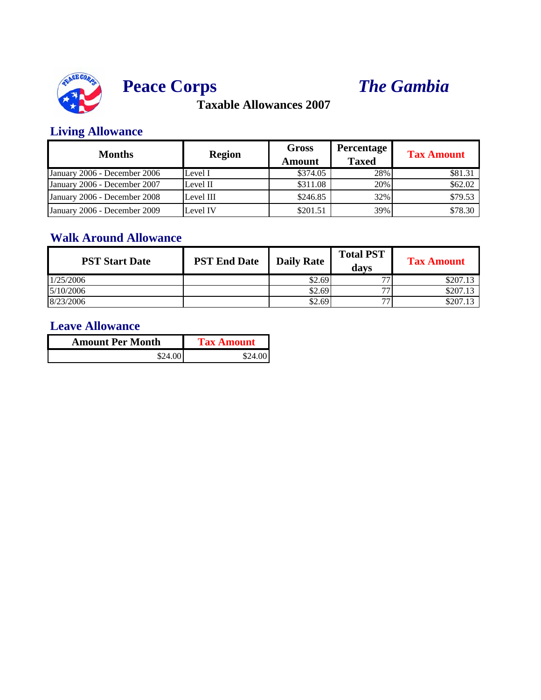

# **Peace Corps** *The Gambia*

**Taxable Allowances 2007**

### **Living Allowance**

| <b>Months</b>                | <b>Region</b> | <b>Gross</b><br>Amount | <b>Percentage</b><br><b>Taxed</b> | <b>Tax Amount</b> |
|------------------------------|---------------|------------------------|-----------------------------------|-------------------|
| January 2006 - December 2006 | Level I       | \$374.05               | 28%                               | \$81.31           |
| January 2006 - December 2007 | Level II      | \$311.08               | 20%                               | \$62.02           |
| January 2006 - December 2008 | Level III     | \$246.85               | 32%                               | \$79.53           |
| January 2006 - December 2009 | Level IV      | \$201.51               | 39%                               | \$78.30           |

### **Walk Around Allowance**

| <b>PST Start Date</b> | <b>PST End Date</b> | <b>Daily Rate</b> | <b>Total PST</b><br>davs | <b>Tax Amount</b> |
|-----------------------|---------------------|-------------------|--------------------------|-------------------|
| 1/25/2006             |                     | \$2.69            | 77                       | \$207.13          |
| 5/10/2006             |                     | \$2.69            | 77                       | \$207.13          |
| 8/23/2006             |                     | \$2.69            | רה                       | \$207.13          |

| <b>Amount Per Month</b> | <b>Tax Amount</b> |
|-------------------------|-------------------|
| \$24.00                 | \$24.00           |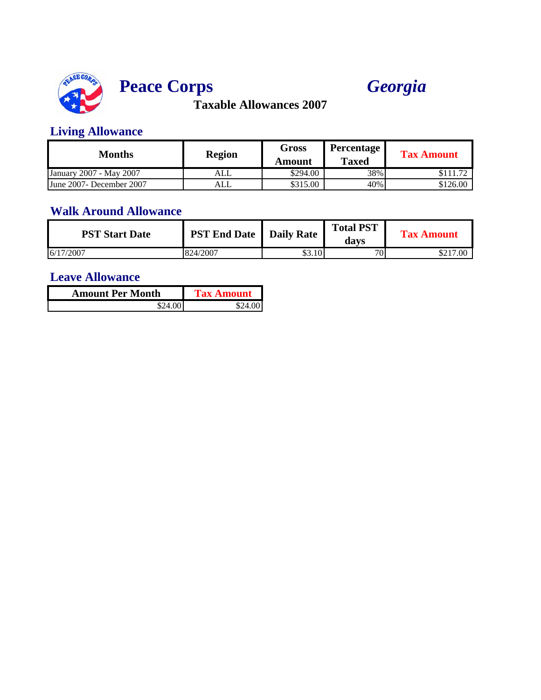



### **Living Allowance**

| Months                   | <b>Region</b> | <b>Gross</b><br>Amount | <b>Percentage</b><br><b>Taxed</b> | <b>Tax Amount</b> |
|--------------------------|---------------|------------------------|-----------------------------------|-------------------|
| January 2007 - May 2007  | ALL           | \$294.00               | 38%                               | 11.70             |
| June 2007- December 2007 | ALL           | \$315.00               | 40%                               | \$126.00          |

## **Walk Around Allowance**

| <b>PST Start Date</b> | <b>PST End Date</b>   Daily Rate |        | <b>Total PST</b><br>davs | <b>Tax Amount</b> |
|-----------------------|----------------------------------|--------|--------------------------|-------------------|
| 6/17/2007             | 824/2007                         | \$3.10 | 70 <sub>1</sub>          | \$217.00          |

| <b>Amount Per Month</b> | Tax Amount |
|-------------------------|------------|
|                         |            |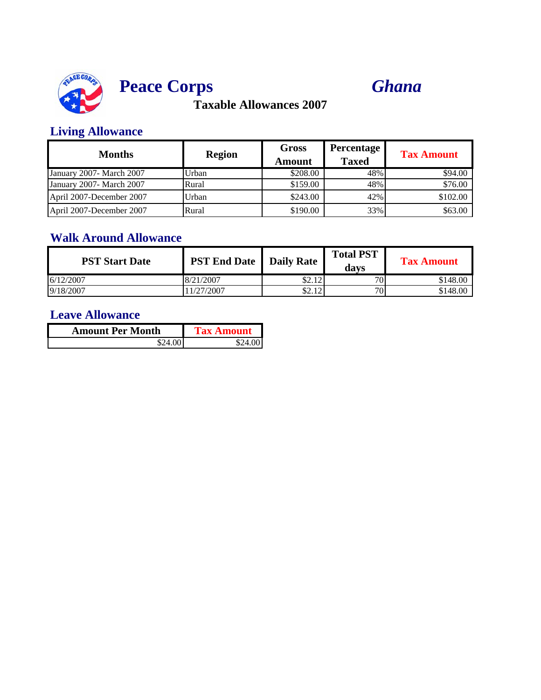



### **Living Allowance**

| <b>Months</b>             | <b>Region</b> | Gross<br>Amount | <b>Percentage</b><br><b>Taxed</b> | <b>Tax Amount</b> |
|---------------------------|---------------|-----------------|-----------------------------------|-------------------|
| January 2007- March 2007  | Urban         | \$208.00        | 48%                               | \$94.00           |
| January 2007 - March 2007 | Rural         | \$159.00        | 48%                               | \$76.00           |
| April 2007-December 2007  | Urban         | \$243.00        | 42%                               | \$102.00          |
| April 2007-December 2007  | Rural         | \$190.00        | 33%                               | \$63.00           |

### **Walk Around Allowance**

| <b>PST Start Date</b> | <b>PST End Date</b> | <b>Daily Rate</b> | <b>Total PST</b><br>davs | <b>Tax Amount</b> |
|-----------------------|---------------------|-------------------|--------------------------|-------------------|
| 6/12/2007             | 8/21/2007           | \$2.12            | 70 <sup>1</sup>          | \$148.00          |
| 9/18/2007             | 1/27/2007           | \$2.12            | 70                       | \$148.00          |

| <b>Amount Per Month</b> | <b>Tax Amount</b> |
|-------------------------|-------------------|
| \$24.00                 | \$24.00           |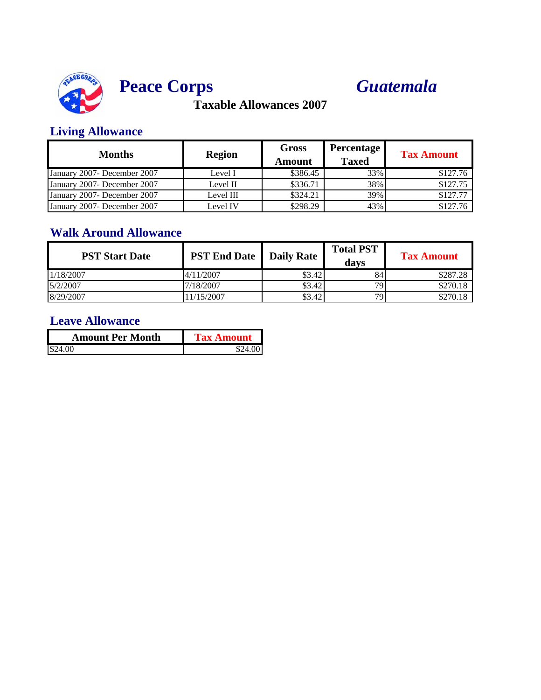



### **Living Allowance**

| <b>Months</b>                | <b>Region</b> | <b>Gross</b><br><b>Amount</b> | <b>Percentage</b><br><b>Taxed</b> | <b>Tax Amount</b> |
|------------------------------|---------------|-------------------------------|-----------------------------------|-------------------|
| January 2007 - December 2007 | Level I       | \$386.45                      | 33%                               | \$127.76          |
| January 2007- December 2007  | Level II      | \$336.71                      | 38%                               | \$127.75          |
| January 2007 - December 2007 | Level III     | \$324.21                      | 39%                               | \$127.77          |
| January 2007- December 2007  | Level IV      | \$298.29                      | 43%                               | \$127.76          |

### **Walk Around Allowance**

| <b>PST Start Date</b> | <b>PST End Date</b>   Daily Rate |        | <b>Total PST</b><br>davs | <b>Tax Amount</b> |
|-----------------------|----------------------------------|--------|--------------------------|-------------------|
| 1/18/2007             | 4/11/2007                        | \$3.42 | 84                       | \$287.28          |
| 5/2/2007              | 7/18/2007                        | \$3.42 | 79                       | \$270.18          |
| 8/29/2007             | 1/15/2007                        | \$3.42 | 791                      | \$270.18          |

| <b>Amount Per Month</b> | <b>Tax Amount</b> |  |
|-------------------------|-------------------|--|
| \$24.00                 | \$24.00 L         |  |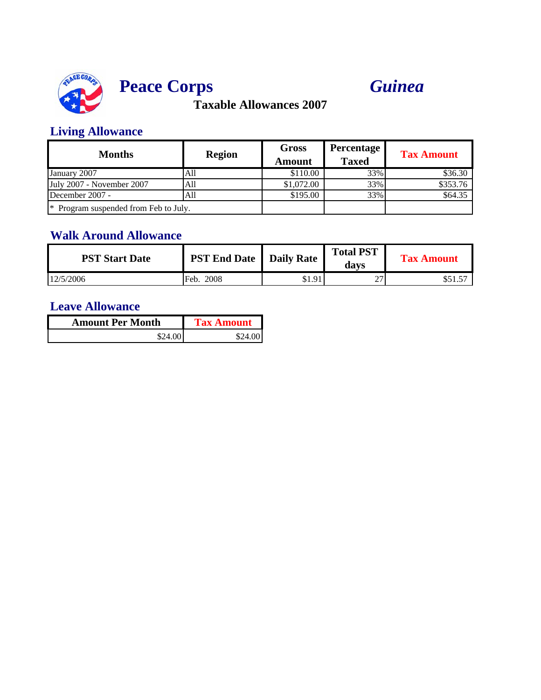



## **Living Allowance**

| <b>Months</b>                         | <b>Region</b> | <b>Gross</b><br>Amount | <b>Percentage</b><br><b>Taxed</b> | <b>Tax Amount</b> |
|---------------------------------------|---------------|------------------------|-----------------------------------|-------------------|
| January 2007                          | All           | \$110.00               | 33%                               | \$36.30           |
| July 2007 - November 2007             | All           | \$1,072.00             | 33%                               | \$353.76          |
| December 2007 -                       | All           | \$195.00               | 33%                               | \$64.35           |
| * Program suspended from Feb to July. |               |                        |                                   |                   |

## **Walk Around Allowance**

| <b>PST Start Date</b> | <b>PST End Date</b> | Daily Rate | <b>Total PST</b><br>davs | <b>Tax Amount</b> |
|-----------------------|---------------------|------------|--------------------------|-------------------|
| 12/5/2006             | 2008<br>Feb.        | \$1.91     | ^7<br>∼                  | 32 I.J            |

| <b>Amount Per Month</b> | <b>Tax Amount</b> |
|-------------------------|-------------------|
| \$24.00                 | \$24.00           |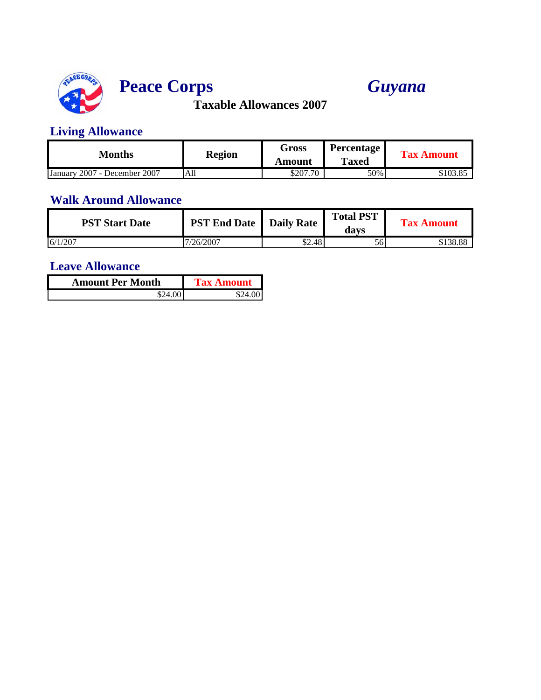

# **Peace Corps** *Guyana*

**Taxable Allowances 2007**

### **Living Allowance**

| Months                                 | <b>Region</b> | Gross    | Percentage   | <b>Tax Amount</b> |
|----------------------------------------|---------------|----------|--------------|-------------------|
|                                        |               | Amount   | <b>Taxed</b> |                   |
| 2007 - December 2007<br><b>January</b> | All           | \$207.70 | 50%          | \$103.85          |

#### **Walk Around Allowance**

| <b>PST Start Date</b> | <b>PST End Date</b>   Daily Rate |        | <b>Total PST</b><br>davs | <b>Tax Amount</b> |
|-----------------------|----------------------------------|--------|--------------------------|-------------------|
| 6/1/207               | 7/26/2007                        | \$2.48 | 56                       | \$138.88          |

| <b>Amount Per Month</b> | <b>Tax Amount</b> |  |
|-------------------------|-------------------|--|
|                         |                   |  |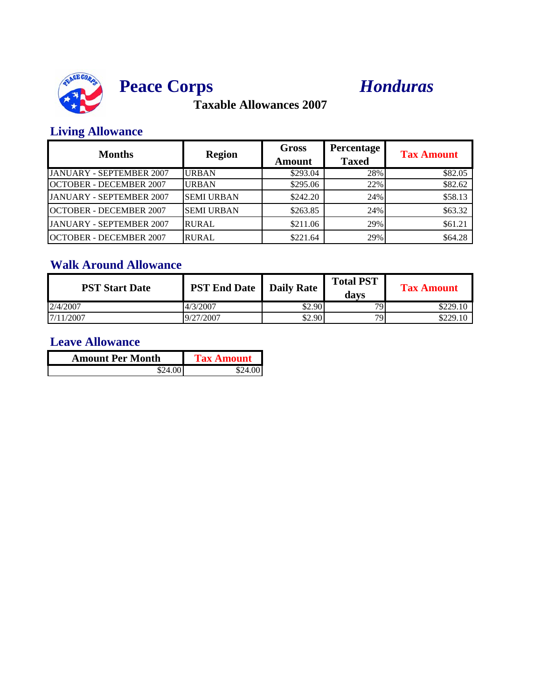

# **Peace Corps** *Honduras*

**Taxable Allowances 2007**

### **Living Allowance**

| <b>Months</b>                   | <b>Region</b>     | <b>Gross</b><br>Amount | Percentage<br><b>Taxed</b> | <b>Tax Amount</b> |
|---------------------------------|-------------------|------------------------|----------------------------|-------------------|
| <b>JANUARY - SEPTEMBER 2007</b> | <b>URBAN</b>      | \$293.04               | 28%                        | \$82.05           |
| <b>OCTOBER - DECEMBER 2007</b>  | <b>URBAN</b>      | \$295.06               | 22%                        | \$82.62           |
| <b>JANUARY - SEPTEMBER 2007</b> | <b>SEMI URBAN</b> | \$242.20               | 24%                        | \$58.13           |
| <b>OCTOBER - DECEMBER 2007</b>  | <b>SEMI URBAN</b> | \$263.85               | 24%                        | \$63.32           |
| <b>JANUARY - SEPTEMBER 2007</b> | <b>RURAL</b>      | \$211.06               | 29%                        | \$61.21           |
| <b>OCTOBER - DECEMBER 2007</b>  | <b>RURAL</b>      | \$221.64               | 29%                        | \$64.28           |

### **Walk Around Allowance**

| <b>PST Start Date</b> | <b>PST End Date</b>   Daily Rate |        | <b>Total PST</b><br>davs | <b>Tax Amount</b> |
|-----------------------|----------------------------------|--------|--------------------------|-------------------|
| 2/4/2007              | 4/3/2007                         | \$2.90 | 70.                      | \$229.10          |
| 7/11/2007             | 9/27/2007                        | \$2.90 | 79                       | \$229.10          |

| <b>Amount Per Month</b> | <b>Tax Amount</b> |
|-------------------------|-------------------|
| \$24.00                 | \$24.001          |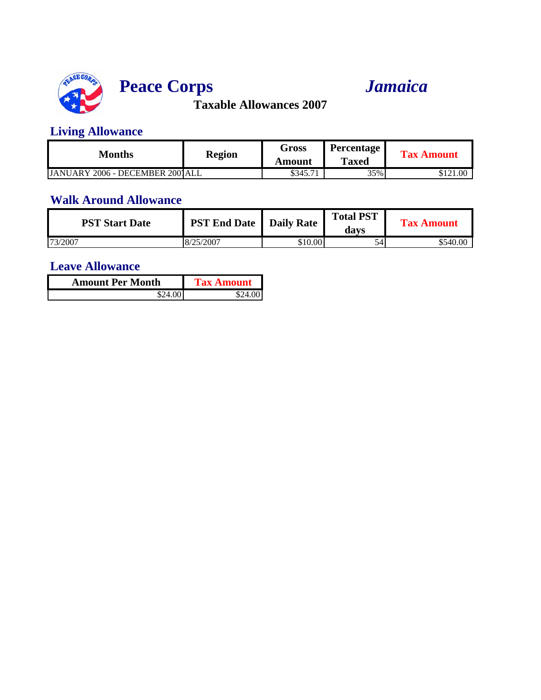

# **Peace Corps** *Jamaica*

**Taxable Allowances 2007**

### **Living Allowance**

| Months                          | <b>Region</b> | Gross    | <b>Percentage</b> | <b>Tax Amount</b> |
|---------------------------------|---------------|----------|-------------------|-------------------|
|                                 |               | Amount   | <b>Taxed</b>      |                   |
| JANUARY 2006 - DECEMBER 2001ALL |               | \$345.71 | 35%               | \$121.00          |

#### **Walk Around Allowance**

| <b>PST Start Date</b> | <b>PST End Date</b> | <b>Daily Rate</b> | <b>Total PST</b><br>davs | <b>Tax Amount</b> |
|-----------------------|---------------------|-------------------|--------------------------|-------------------|
| 73/2007               | 8/25/2007           | \$10.00           | 54                       | \$540.00          |

| <b>Amount Per Month</b> | <b>Tax Amount</b> |
|-------------------------|-------------------|
| \$24.00 I               |                   |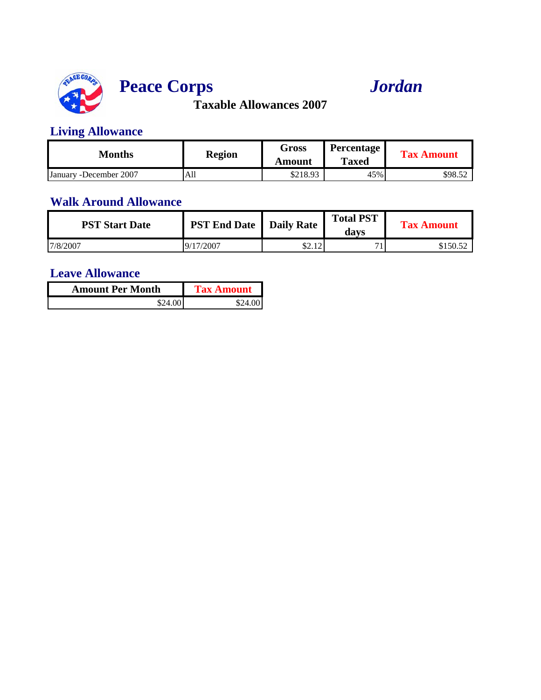

# **Peace Corps** *Jordan*

**Taxable Allowances 2007**

### **Living Allowance**

| Months                  | <b>Region</b> | Gross<br>Amount | <b>Percentage</b><br><b>Taxed</b> | <b>Tax Amount</b> |
|-------------------------|---------------|-----------------|-----------------------------------|-------------------|
| January - December 2007 | All           | \$218.93        | 45%                               | \$98.52           |

#### **Walk Around Allowance**

| <b>PST Start Date</b> | <b>PST End Date</b>   Daily Rate |               | <b>Total PST</b><br>davs | <b>Tax Amount</b> |
|-----------------------|----------------------------------|---------------|--------------------------|-------------------|
| 17/8/2007             | 9/17/2007                        | 0.12<br>04.14 |                          | \$150.52          |

| <b>Amount Per Month</b> | <b>Tax Amount</b> |
|-------------------------|-------------------|
| \$24.00                 | \$24.001          |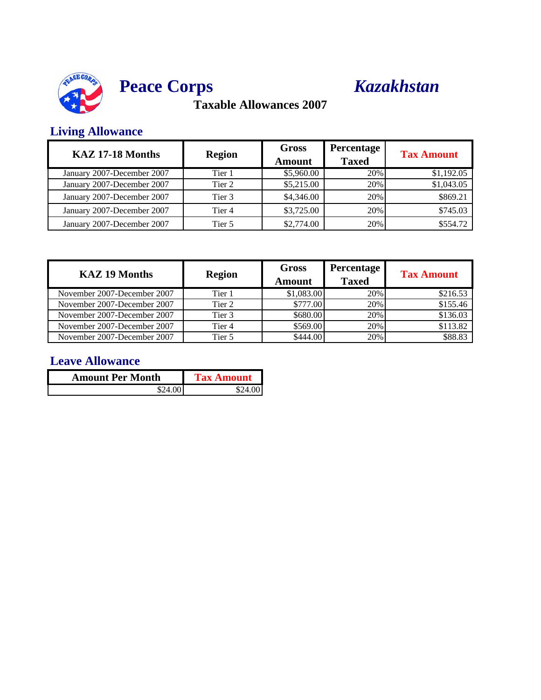



### **Living Allowance**

| KAZ 17-18 Months           | <b>Region</b> | <b>Gross</b><br>Amount | <b>Percentage</b><br><b>Taxed</b> | <b>Tax Amount</b> |
|----------------------------|---------------|------------------------|-----------------------------------|-------------------|
| January 2007-December 2007 | Tier 1        | \$5,960.00             | 20%                               | \$1,192.05        |
| January 2007-December 2007 | Tier 2        | \$5,215.00             | 20%                               | \$1,043.05        |
| January 2007-December 2007 | Tier 3        | \$4,346.00             | 20%                               | \$869.21          |
| January 2007-December 2007 | Tier 4        | \$3,725.00             | 20%                               | \$745.03          |
| January 2007-December 2007 | Tier 5        | \$2,774.00             | 20%                               | \$554.72          |

| <b>KAZ 19 Months</b>        | <b>Region</b> | <b>Gross</b><br><b>Amount</b> | <b>Percentage</b><br><b>Taxed</b> | <b>Tax Amount</b> |
|-----------------------------|---------------|-------------------------------|-----------------------------------|-------------------|
| November 2007-December 2007 | Tier 1        | \$1,083.00                    | 20%                               | \$216.53          |
| November 2007-December 2007 | Tier 2        | \$777.00                      | 20%                               | \$155.46          |
| November 2007-December 2007 | Tier 3        | \$680.00                      | 20%                               | \$136.03          |
| November 2007-December 2007 | Tier 4        | \$569.00                      | 20%                               | \$113.82          |
| November 2007-December 2007 | Tier 5        | \$444.00                      | 20%                               | \$88.83           |

| <b>Amount Per Month</b> | <b>Tax Amount</b> |
|-------------------------|-------------------|
| 24. OO L                | SO 4              |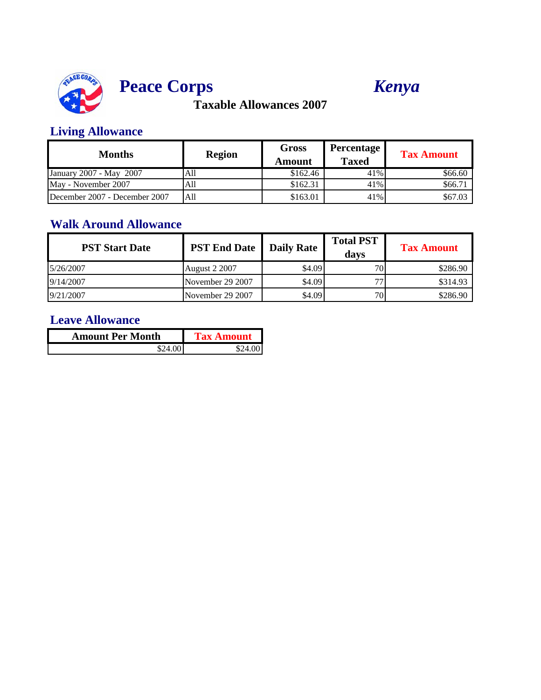



### **Living Allowance**

| Months                        | <b>Region</b> | <b>Gross</b><br>Amount | Percentage<br><b>Taxed</b> | <b>Tax Amount</b> |
|-------------------------------|---------------|------------------------|----------------------------|-------------------|
| January 2007 - May 2007       | All           | \$162.46               | 41%                        | \$66.60           |
| May - November 2007           | All           | \$162.31               | 41%                        | \$66.71           |
| December 2007 - December 2007 | All           | \$163.01               | 41%                        | \$67.03           |

### **Walk Around Allowance**

| <b>PST Start Date</b> | <b>PST End Date</b>  | <b>Daily Rate</b> | <b>Total PST</b><br>davs | <b>Tax Amount</b> |
|-----------------------|----------------------|-------------------|--------------------------|-------------------|
| 5/26/2007             | <b>August 2 2007</b> | \$4.09            | 70 <sub>1</sub>          | \$286.90          |
| 9/14/2007             | November 29 2007     | \$4.09            | 77                       | \$314.93          |
| 9/21/2007             | November 29 2007     | \$4.09            | 70                       | \$286.90          |

| <b>Amount Per Month</b> | <b>Tax Amount</b> |
|-------------------------|-------------------|
| \$24.00 I               | S24 00            |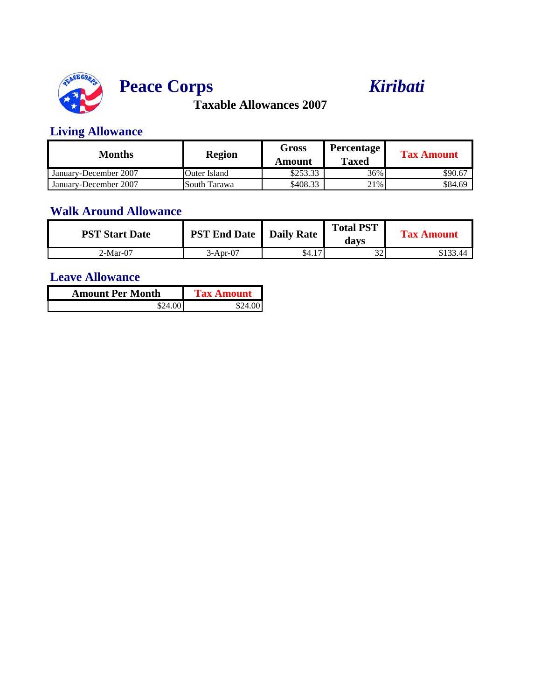



### **Living Allowance**

| Months                | <b>Region</b> | Gross<br>Amount | <b>Percentage</b><br><b>Taxed</b> | <b>Tax Amount</b> |
|-----------------------|---------------|-----------------|-----------------------------------|-------------------|
| January-December 2007 | Outer Island  | \$253.33        | 36%                               | \$90.67           |
| January-December 2007 | South Tarawa  | \$408.33        | 21%                               | \$84.69           |

### **Walk Around Allowance**

| <b>PST Start Date</b> | <b>PST End Date</b>   Daily Rate |             | <b>Total PST</b><br>davs | <b>Tax Amount</b> |
|-----------------------|----------------------------------|-------------|--------------------------|-------------------|
| 2-Mar-07              | 3-Apr-07                         | \$4.1<br>17 | $\mathcal{L}$<br>ىدر     | \$133.44          |

| <b>Amount Per Month</b> | Tax Amount |
|-------------------------|------------|
| λO                      |            |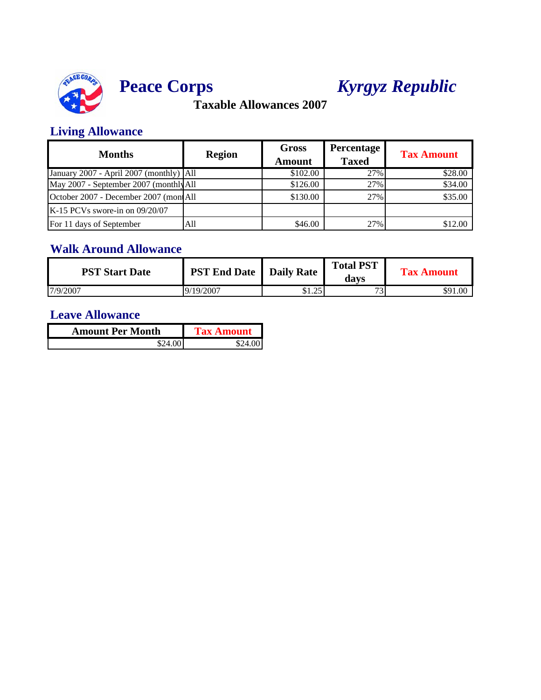



# **Peace Corps** *Kyrgyz Republic*

**Taxable Allowances 2007**

### **Living Allowance**

| <b>Months</b>                           | <b>Region</b> | <b>Gross</b><br><b>Amount</b> | <b>Percentage</b><br><b>Taxed</b> | <b>Tax Amount</b> |
|-----------------------------------------|---------------|-------------------------------|-----------------------------------|-------------------|
| January 2007 - April 2007 (monthly) All |               | \$102.00                      | 27%                               | \$28.00           |
| May 2007 - September 2007 (monthly All  |               | \$126.00                      | 27%                               | \$34.00           |
| October 2007 - December 2007 (montAll   |               | \$130.00                      | 27%                               | \$35.00           |
| $K-15$ PCVs swore-in on 09/20/07        |               |                               |                                   |                   |
| For 11 days of September                | All           | \$46.00                       | 27%                               | \$12.00           |

### **Walk Around Allowance**

| <b>PST Start Date</b> | <b>PST End Date</b> | Daily Rate         | <b>Total PST</b><br>davs | <b>Tax Amount</b> |
|-----------------------|---------------------|--------------------|--------------------------|-------------------|
| 7/9/2007              | 9/19/2007           | 25<br>ሶ 1<br>01.ZJ | $\overline{\phantom{a}}$ | \$91.00           |

| <b>Amount Per Month</b> | <b>Tax Amount</b> |
|-------------------------|-------------------|
| \$24.00                 | \$24.001          |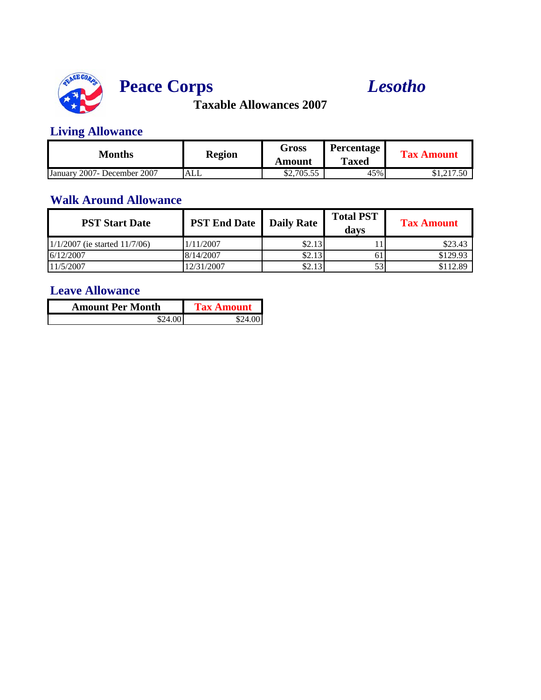

# **Peace Corps** *Lesotho*

**Taxable Allowances 2007**

### **Living Allowance**

| Months                      | <b>Region</b> | Gross      | <b>Percentage</b> | <b>Tax Amount</b> |
|-----------------------------|---------------|------------|-------------------|-------------------|
|                             |               | Amount     | <b>Taxed</b>      |                   |
| January 2007- December 2007 | <b>ALL</b>    | \$2,705.55 | 45%               | \$1,217.50        |

#### **Walk Around Allowance**

| <b>PST Start Date</b>              | <b>PST End Date</b>   Daily Rate |        | <b>Total PST</b><br>davs | <b>Tax Amount</b> |
|------------------------------------|----------------------------------|--------|--------------------------|-------------------|
| $1/1/2007$ (ie started $11/7/06$ ) | 1/11/2007                        | \$2.13 |                          | \$23.43           |
| 6/12/2007                          | 8/14/2007                        | \$2.13 | 61                       | \$129.93          |
| 11/5/2007                          | 2/31/2007                        | \$2.13 | 53                       | \$112.89          |

| <b>Amount Per Month</b> | <b>Tax Amount</b> |
|-------------------------|-------------------|
| \$24.001                | \$24.001          |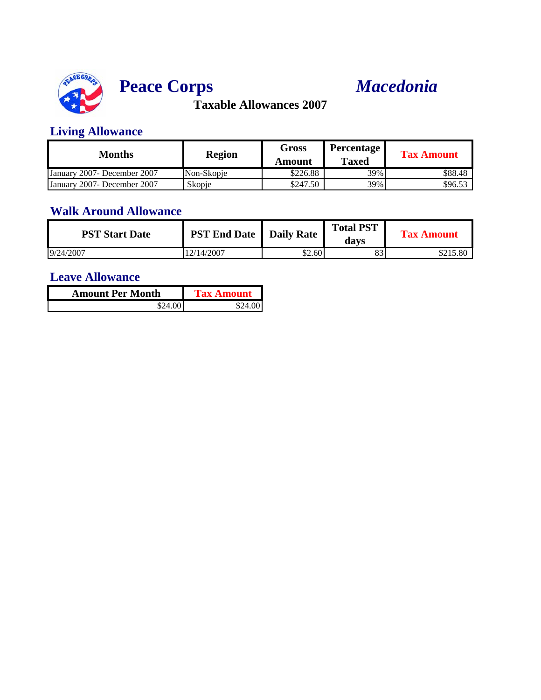

# **Peace Corps** *Macedonia*

**Taxable Allowances 2007**

### **Living Allowance**

| Months                       | <b>Region</b> | Gross<br>Amount | <b>Percentage</b><br><b>Taxed</b> | <b>Tax Amount</b> |
|------------------------------|---------------|-----------------|-----------------------------------|-------------------|
| January 2007 - December 2007 | Non-Skopje    | \$226.88        | 39%                               | \$88.48           |
| January 2007 - December 2007 | Skopje        | \$247.50        | 39%                               | \$96.53           |

## **Walk Around Allowance**

| <b>PST Start Date</b> | <b>PST End Date</b>   Daily Rate |        | <b>Total PST</b><br>davs | <b>Tax Amount</b> |
|-----------------------|----------------------------------|--------|--------------------------|-------------------|
| 9/24/2007             | 2/14/2007                        | \$2.60 | $^{o2}$<br>89            | \$215.80          |

| <b>Amount Per Month</b> | Tax Amount |
|-------------------------|------------|
|                         |            |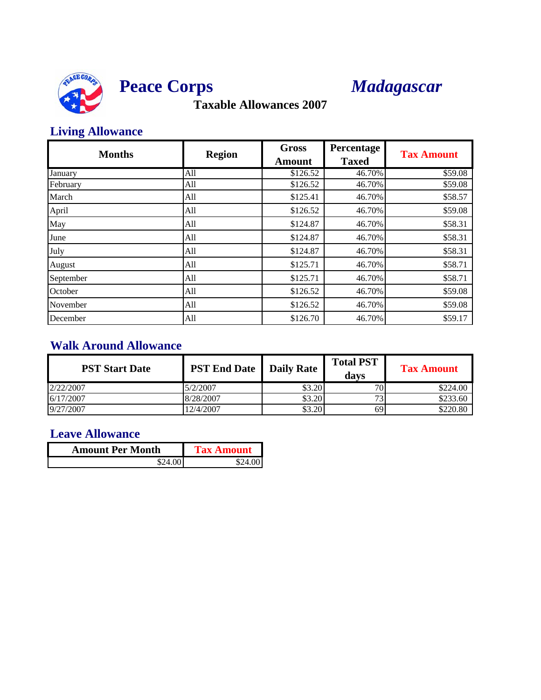



### **Living Allowance**

| <b>Months</b> | <b>Region</b> | <b>Gross</b><br><b>Amount</b> | Percentage<br><b>Taxed</b> | <b>Tax Amount</b> |
|---------------|---------------|-------------------------------|----------------------------|-------------------|
| January       | All           | \$126.52                      | 46.70%                     | \$59.08           |
| February      | All           | \$126.52                      | 46.70%                     | \$59.08           |
| March         | All           | \$125.41                      | 46.70%                     | \$58.57           |
| April         | All           | \$126.52                      | 46.70%                     | \$59.08           |
| May           | All           | \$124.87                      | 46.70%                     | \$58.31           |
| June          | All           | \$124.87                      | 46.70%                     | \$58.31           |
| July          | All           | \$124.87                      | 46.70%                     | \$58.31           |
| August        | All           | \$125.71                      | 46.70%                     | \$58.71           |
| September     | All           | \$125.71                      | 46.70%                     | \$58.71           |
| October       | All           | \$126.52                      | 46.70%                     | \$59.08           |
| November      | All           | \$126.52                      | 46.70%                     | \$59.08           |
| December      | All           | \$126.70                      | 46.70%                     | \$59.17           |

### **Walk Around Allowance**

| <b>PST Start Date</b> | <b>PST End Date</b>   Daily Rate |        | <b>Total PST</b><br>davs | <b>Tax Amount</b> |
|-----------------------|----------------------------------|--------|--------------------------|-------------------|
| 2/22/2007             | 5/2/2007                         | \$3.20 | 70.                      | \$224.00          |
| 6/17/2007             | 8/28/2007                        | \$3.20 | 72                       | \$233.60          |
| 9/27/2007             | 12/4/2007                        | \$3.20 | 69                       | \$220.80          |

| <b>Amount Per Month</b> | <b>Tax Amount</b> |
|-------------------------|-------------------|
| \$24.001                | \$24.00 I         |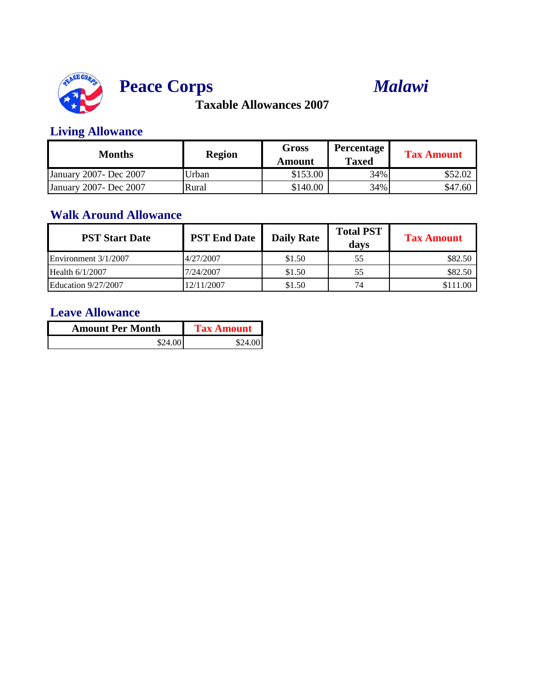



### **Living Allowance**

| <b>Months</b>           | <b>Region</b> | Gross<br>Amount | <b>Percentage</b><br><b>Taxed</b> | <b>Tax Amount</b> |
|-------------------------|---------------|-----------------|-----------------------------------|-------------------|
| January 2007- Dec 2007  | Urban         | \$153.00        | 34%                               | \$52.02           |
| January 2007 - Dec 2007 | Rural         | \$140.00        | 34%                               | \$47.60           |

#### **Walk Around Allowance**

| <b>PST Start Date</b>      | <b>PST End Date</b> | <b>Daily Rate</b> | <b>Total PST</b><br>days | <b>Tax Amount</b> |
|----------------------------|---------------------|-------------------|--------------------------|-------------------|
| Environment 3/1/2007       | 4/27/2007           | \$1.50            | 55                       | \$82.50           |
| Health $6/1/2007$          | 7/24/2007           | \$1.50            | 55                       | \$82.50           |
| <b>Education 9/27/2007</b> | 12/11/2007          | \$1.50            | 74                       | \$111.00          |

| <b>Amount Per Month</b> | <b>Tax Amount</b> |
|-------------------------|-------------------|
| \$24.00                 | \$24.00           |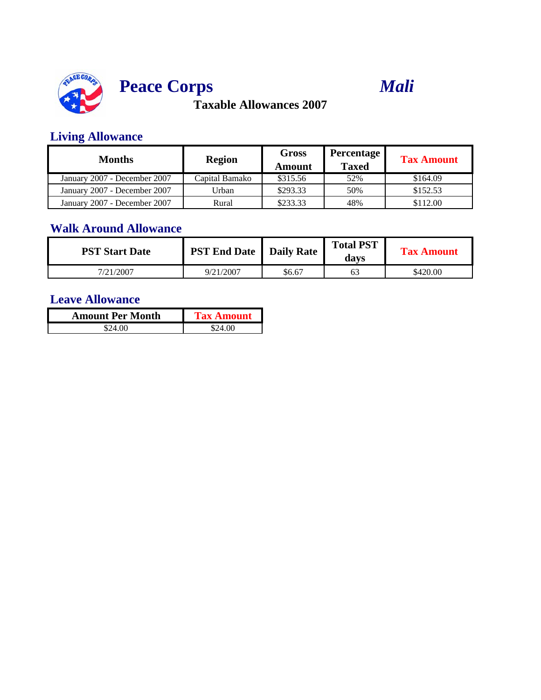





## **Living Allowance**

| $\frac{1}{1}$                |                |                 |                                   |                   |  |
|------------------------------|----------------|-----------------|-----------------------------------|-------------------|--|
| Months                       | <b>Region</b>  | Gross<br>Amount | <b>Percentage</b><br><b>Taxed</b> | <b>Tax Amount</b> |  |
| January 2007 - December 2007 | Capital Bamako | \$315.56        | 52%                               | \$164.09          |  |
| January 2007 - December 2007 | Urban          | \$293.33        | 50%                               | \$152.53          |  |
| January 2007 - December 2007 | Rural          | \$233.33        | 48%                               | \$112.00          |  |

## **Walk Around Allowance**

| <b>PST Start Date</b> | <b>PST End Date</b>   Daily Rate |        | <b>Total PST</b><br>davs | <b>Tax Amount</b> |
|-----------------------|----------------------------------|--------|--------------------------|-------------------|
| 7/21/2007             | 9/21/2007                        | \$6.67 | 63                       | \$420.00          |

| <b>Amount Per Month</b> | <b>Tax Amount</b> |
|-------------------------|-------------------|
| S24 00                  | S24 00            |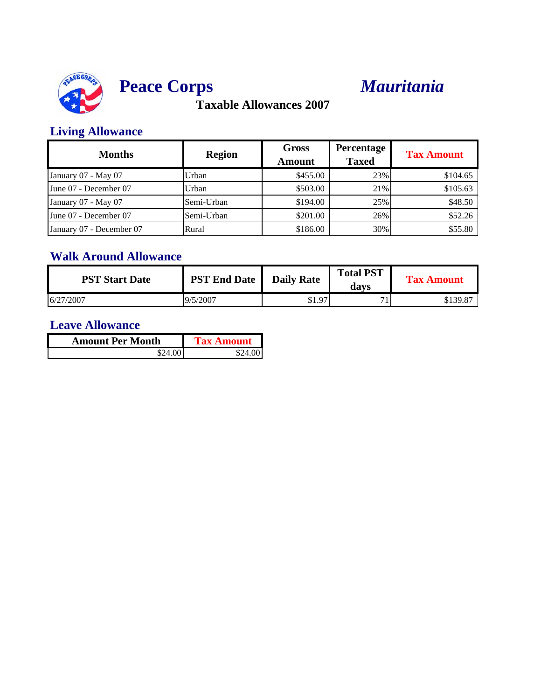



### **Living Allowance**

| <b>Months</b>            | <b>Region</b> | <b>Gross</b><br><b>Amount</b> | <b>Percentage</b><br><b>Taxed</b> | <b>Tax Amount</b> |
|--------------------------|---------------|-------------------------------|-----------------------------------|-------------------|
| January 07 - May 07      | Urban         | \$455.00                      | 23%                               | \$104.65          |
| June 07 - December 07    | Urban         | \$503.00                      | 21%                               | \$105.63          |
| January 07 - May 07      | Semi-Urban    | \$194.00                      | 25%                               | \$48.50           |
| June 07 - December 07    | Semi-Urban    | \$201.00                      | 26%                               | \$52.26           |
| January 07 - December 07 | Rural         | \$186.00                      | 30%                               | \$55.80           |

## **Walk Around Allowance**

| <b>PST Start Date</b> | <b>PST End Date</b> | <b>Daily Rate</b> | <b>Total PST</b><br>davs | <b>Tax Amount</b> |
|-----------------------|---------------------|-------------------|--------------------------|-------------------|
| 6/27/2007             | 9/5/2007            | \$1.97            | 71                       | \$139.87          |

| <b>Amount Per Month</b> | <b>Tax Amount</b> |
|-------------------------|-------------------|
| \$24.00                 | \$24.00 I         |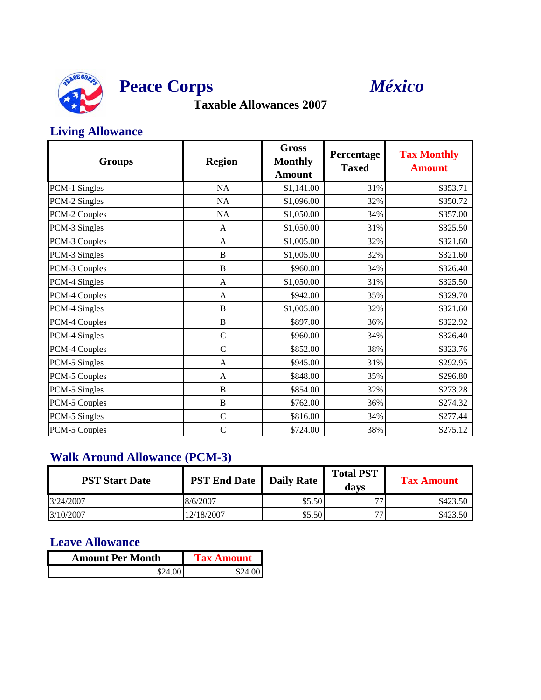



### **Living Allowance**

| <b>Groups</b> | <b>Region</b>  | <b>Gross</b><br><b>Monthly</b><br><b>Amount</b> | Percentage<br><b>Taxed</b> | <b>Tax Monthly</b><br><b>Amount</b> |
|---------------|----------------|-------------------------------------------------|----------------------------|-------------------------------------|
| PCM-1 Singles | NA             | \$1,141.00                                      | 31%                        | \$353.71                            |
| PCM-2 Singles | <b>NA</b>      | \$1,096.00                                      | 32%                        | \$350.72                            |
| PCM-2 Couples | NA             | \$1,050.00                                      | 34%                        | \$357.00                            |
| PCM-3 Singles | A              | \$1,050.00                                      | 31%                        | \$325.50                            |
| PCM-3 Couples | A              | \$1,005.00                                      | 32%                        | \$321.60                            |
| PCM-3 Singles | B              | \$1,005.00                                      | 32%                        | \$321.60                            |
| PCM-3 Couples | B              | \$960.00                                        | 34%                        | \$326.40                            |
| PCM-4 Singles | A              | \$1,050.00                                      | 31%                        | \$325.50                            |
| PCM-4 Couples | A              | \$942.00                                        | 35%                        | \$329.70                            |
| PCM-4 Singles | $\, {\bf B}$   | \$1,005.00                                      | 32%                        | \$321.60                            |
| PCM-4 Couples | $\, {\bf B}$   | \$897.00                                        | 36%                        | \$322.92                            |
| PCM-4 Singles | $\mathcal{C}$  | \$960.00                                        | 34%                        | \$326.40                            |
| PCM-4 Couples | $\overline{C}$ | \$852.00                                        | 38%                        | \$323.76                            |
| PCM-5 Singles | A              | \$945.00                                        | 31%                        | \$292.95                            |
| PCM-5 Couples | A              | \$848.00                                        | 35%                        | \$296.80                            |
| PCM-5 Singles | B              | \$854.00                                        | 32%                        | \$273.28                            |
| PCM-5 Couples | $\overline{B}$ | \$762.00                                        | 36%                        | \$274.32                            |
| PCM-5 Singles | $\mathbf C$    | \$816.00                                        | 34%                        | \$277.44                            |
| PCM-5 Couples | $\mathcal{C}$  | \$724.00                                        | 38%                        | \$275.12                            |

### **Walk Around Allowance (PCM-3)**

| <b>PST Start Date</b> | <b>PST End Date</b>   Daily Rate |        | <b>Total PST</b><br>davs | <b>Tax Amount</b> |
|-----------------------|----------------------------------|--------|--------------------------|-------------------|
| 3/24/2007             | 8/6/2007                         | \$5.50 | 77                       | \$423.50          |
| 3/10/2007             | 12/18/2007                       | \$5.50 | 77                       | \$423.50          |

| <b>Amount Per Month</b> | <b>Tax Amount</b> |
|-------------------------|-------------------|
| \$24.00                 | \$24.00 I         |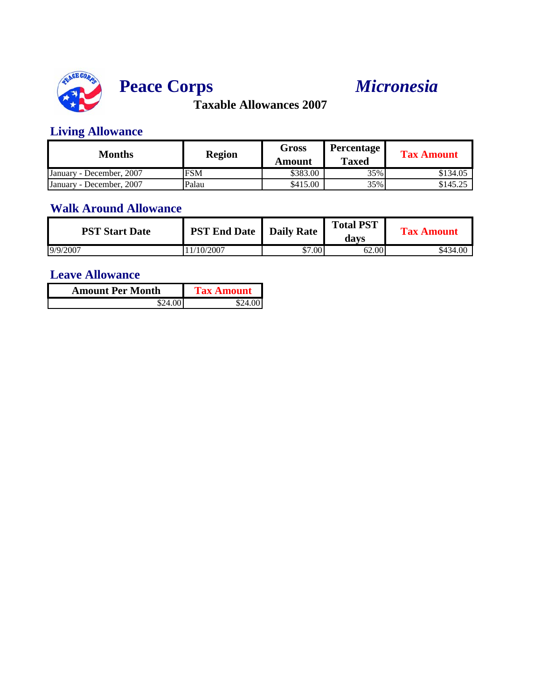

# **Peace Corps** *Micronesia*

**Taxable Allowances 2007**

### **Living Allowance**

| Months                   | <b>Region</b> | <b>Gross</b><br>Amount | <b>Percentage</b><br><b>Taxed</b> | <b>Tax Amount</b> |
|--------------------------|---------------|------------------------|-----------------------------------|-------------------|
| January - December, 2007 | <b>FSM</b>    | \$383.00               | 35%                               | \$134.05          |
| January - December, 2007 | Palau         | \$415.00               | 35%                               | \$145.25          |

#### **Walk Around Allowance**

| <b>PST Start Date</b> | <b>PST End Date</b> | <b>Daily Rate</b> | <b>Total PST</b><br>davs | <b>Tax Amount</b> |
|-----------------------|---------------------|-------------------|--------------------------|-------------------|
| 9/9/2007              | 11/10/2007          | \$7.00            | 62.00                    | \$434.00          |

| <b>Amount Per Month</b> | <b>Tax Amount</b> |
|-------------------------|-------------------|
| \$24.00"                | \$24.00I          |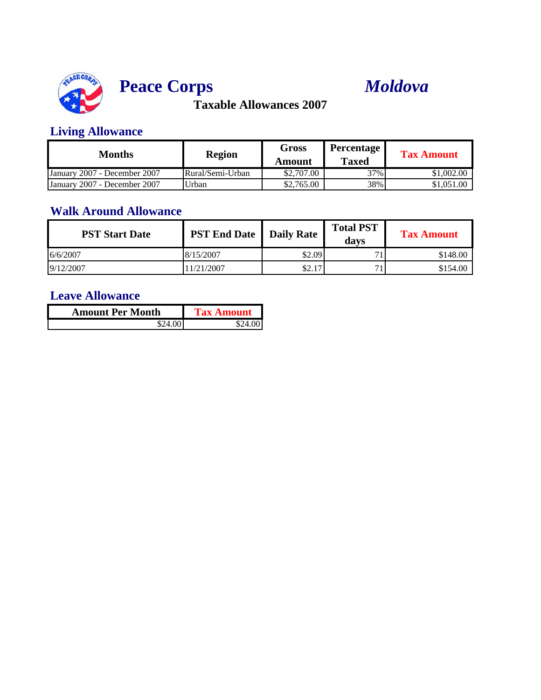



### **Living Allowance**

| Months                       | <b>Region</b>    | <b>Gross</b><br>Amount | Percentage<br><b>Taxed</b> | <b>Tax Amount</b> |
|------------------------------|------------------|------------------------|----------------------------|-------------------|
| January 2007 - December 2007 | Rural/Semi-Urban | \$2,707.00             | $37\%$                     | \$1,002.00        |
| January 2007 - December 2007 | Urban            | \$2,765.00             | 38%                        | \$1,051.00        |

## **Walk Around Allowance**

| <b>PST Start Date</b> | <b>PST End Date</b>   Daily Rate |        | <b>Total PST</b><br>davs | <b>Tax Amount</b> |
|-----------------------|----------------------------------|--------|--------------------------|-------------------|
| 6/6/2007              | 8/15/2007                        | \$2.09 |                          | \$148.00          |
| 9/12/2007             | 1/21/2007                        | \$2.17 |                          | \$154.00          |

| <b>Amount Per Month</b> | <b>Tax Amount</b> |
|-------------------------|-------------------|
| \$24.00                 | \$24.001          |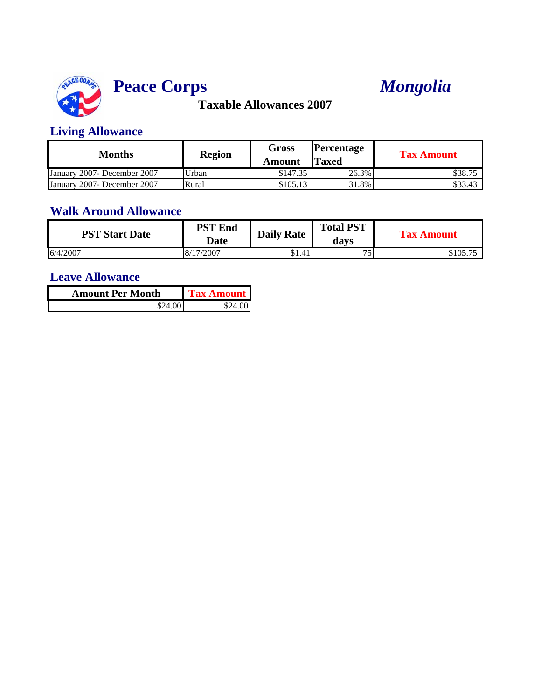

# **Peace Corps**



**Taxable Allowances 2007**

#### **Living Allowance**

| Months                       | <b>Region</b> | Gross<br>Amount | <b>Percentage</b><br><b>Taxed</b> | <b>Tax Amount</b> |
|------------------------------|---------------|-----------------|-----------------------------------|-------------------|
| January 2007- December 2007  | Urban         | \$147.35        | 26.3%                             | \$38.75           |
| January 2007 - December 2007 | Rural         | \$105.13        | 31.8%                             | \$33.43           |

### **Walk Around Allowance**

| <b>PST Start Date</b> | <b>PST End</b><br><b>Date</b> | <b>Daily Rate</b> | <b>Total PST</b><br>davs | <b>Tax Amount</b> |
|-----------------------|-------------------------------|-------------------|--------------------------|-------------------|
| 6/4/2007              | 8/17/2007                     | \$1.41            | $\pi$                    | \$105.75          |

| <b>Amount Per Month</b> | <b>Tax Amount</b> |
|-------------------------|-------------------|
| \$24.00 I               | S74 AAL           |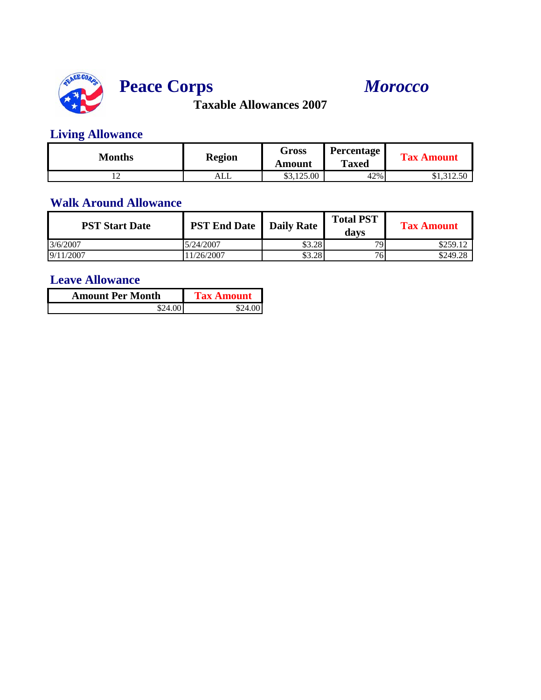

# **Peace Corps** *Morocco*

**Taxable Allowances 2007**

## **Living Allowance**

| Months         | <b>Region</b> | Gross<br>Amount | <b>Percentage</b><br><b>Taxed</b> | <b>Tax Amount</b> |
|----------------|---------------|-----------------|-----------------------------------|-------------------|
| $\overline{ }$ | ALL           | \$3,125.00      | 42%                               | \$1,312.50        |

### **Walk Around Allowance**

| <b>PST Start Date</b> | <b>PST End Date</b>   Daily Rate |        | <b>Total PST</b><br>davs | <b>Tax Amount</b> |
|-----------------------|----------------------------------|--------|--------------------------|-------------------|
| 3/6/2007              | 5/24/2007                        | \$3.28 | 79.                      | \$259.12          |
| 9/11/2007             | 1/26/2007                        | \$3.28 | 76.                      | \$249.28          |

| <b>Amount Per Month</b> | <b>Tax Amount</b> |
|-------------------------|-------------------|
| \$24.00                 |                   |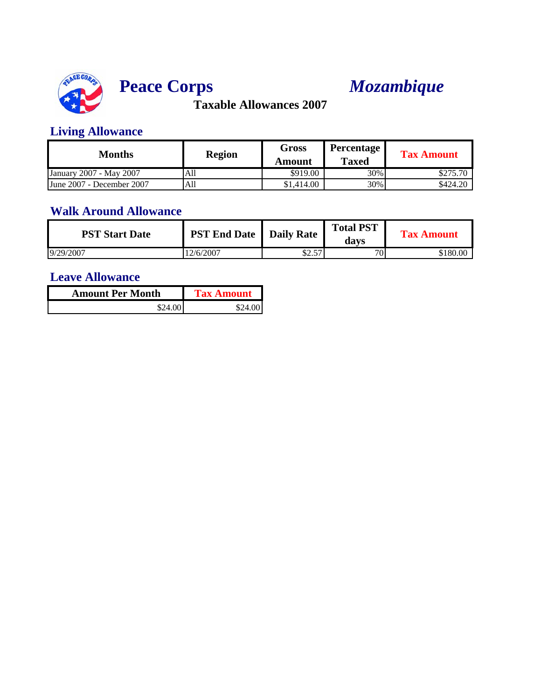

# **Peace Corps** *Mozambique*

**Taxable Allowances 2007**

### **Living Allowance**

| Months                    | <b>Region</b> | <b>Gross</b><br>Amount | Percentage<br><b>Taxed</b> | <b>Tax Amount</b> |
|---------------------------|---------------|------------------------|----------------------------|-------------------|
| January 2007 - May 2007   | All           | \$919.00               | 30%                        | \$275.70          |
| June 2007 - December 2007 | All           | \$1,414.00             | 30%                        | \$424.20          |

## **Walk Around Allowance**

| <b>PST Start Date</b> | <b>PST End Date</b>   Daily Rate |            | <b>Total PST</b><br>davs | <b>Tax Amount</b> |
|-----------------------|----------------------------------|------------|--------------------------|-------------------|
| 9/29/2007             | 12/6/2007                        | 57<br>ل…∠ب | 70 <sub>1</sub>          | \$180.00          |

| <b>Amount Per Month</b> | <b>Tax Amount</b> |
|-------------------------|-------------------|
| \$24.00                 | \$24.00           |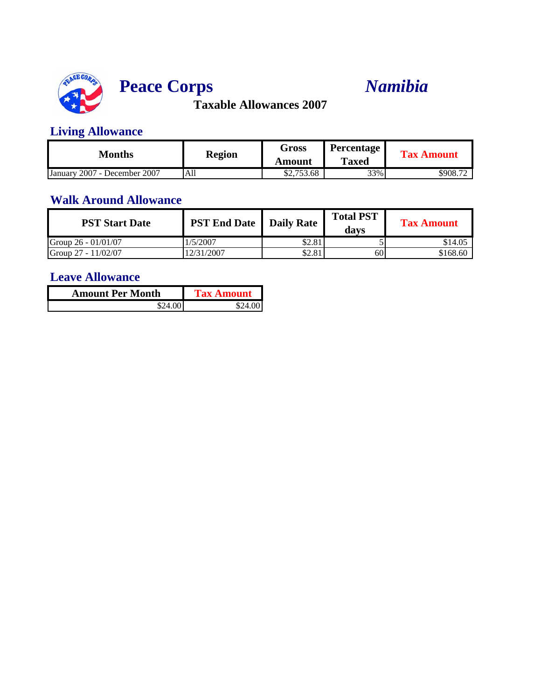

# **Peace Corps** *Namibia*

**Taxable Allowances 2007**

### **Living Allowance**

| Months                          | <b>Region</b> | Gross      | <b>Percentage</b> | <b>Tax Amount</b> |
|---------------------------------|---------------|------------|-------------------|-------------------|
|                                 |               | Amount     | <b>Taxed</b>      |                   |
| 2007 - December 2007<br>January | All           | \$2,753.68 | 33%               | \$908.72          |

#### **Walk Around Allowance**

| <b>PST Start Date</b> | <b>PST End Date</b>   Daily Rate |        | <b>Total PST</b><br>davs | <b>Tax Amount</b> |
|-----------------------|----------------------------------|--------|--------------------------|-------------------|
| Group 26 - 01/01/07   | 1/5/2007                         | \$2.81 |                          | \$14.05           |
| Group 27 - 11/02/07   | 2/31/2007                        | \$2.81 | 60                       | \$168.60          |

| <b>Amount Per Month</b> | Tax Amount |  |
|-------------------------|------------|--|
|                         |            |  |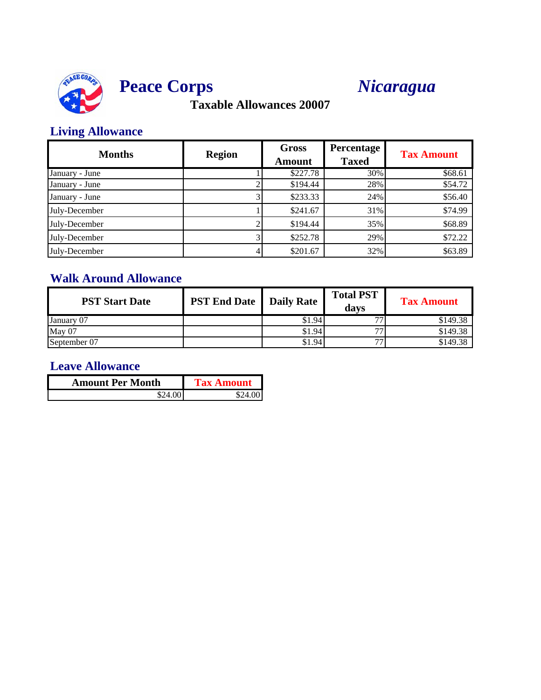



### **Living Allowance**

| <b>Months</b>  | <b>Region</b> | <b>Gross</b><br><b>Amount</b> | Percentage<br><b>Taxed</b> | <b>Tax Amount</b> |
|----------------|---------------|-------------------------------|----------------------------|-------------------|
| January - June |               | \$227.78                      | 30%                        | \$68.61           |
| January - June |               | \$194.44                      | 28%                        | \$54.72           |
| January - June |               | \$233.33                      | 24%                        | \$56.40           |
| July-December  |               | \$241.67                      | 31%                        | \$74.99           |
| July-December  |               | \$194.44                      | 35%                        | \$68.89           |
| July-December  |               | \$252.78                      | 29%                        | \$72.22           |
| July-December  |               | \$201.67                      | 32%                        | \$63.89           |

## **Walk Around Allowance**

| <b>PST Start Date</b> | <b>PST End Date</b> | <b>Daily Rate</b> | <b>Total PST</b><br>davs | <b>Tax Amount</b> |
|-----------------------|---------------------|-------------------|--------------------------|-------------------|
| January 07            |                     | \$1.94            | 77                       | \$149.38          |
| May 07                |                     | \$1.94            | 77                       | \$149.38          |
| September 07          |                     | \$1.94            | 77                       | \$149.38          |

| <b>Amount Per Month</b> | <b>Tax Amount</b> |
|-------------------------|-------------------|
| \$24.00 I               | \$24.001          |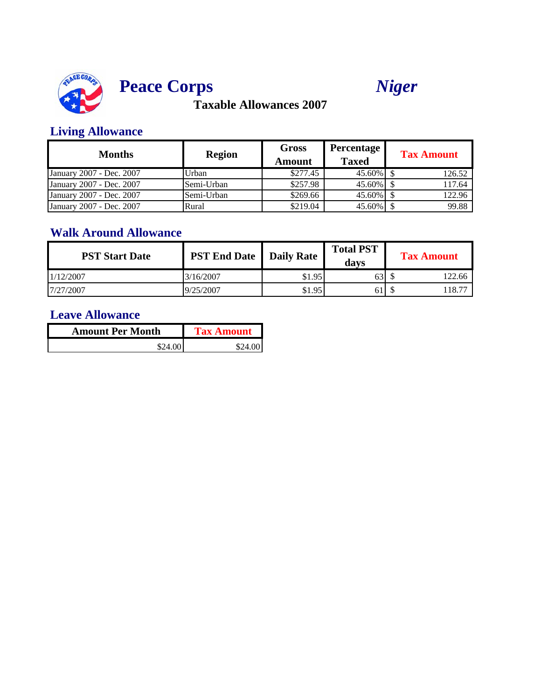





### **Living Allowance**

| Months                   | <b>Region</b> | <b>Gross</b><br>Amount | <b>Percentage</b><br><b>Taxed</b> | <b>Tax Amount</b> |
|--------------------------|---------------|------------------------|-----------------------------------|-------------------|
| January 2007 - Dec. 2007 | Urban         | \$277.45               |                                   | 126.52            |
| January 2007 - Dec. 2007 | Semi-Urban    | \$257.98               | 45.60% \$                         | 117.64            |
| January 2007 - Dec. 2007 | Semi-Urban    | \$269.66               | $45.60\%$ \$                      | 122.96            |
| January 2007 - Dec. 2007 | Rural         | \$219.04               | 45.60%                            | 99.88             |

#### **Walk Around Allowance**

| <b>PST Start Date</b> | <b>PST End Date</b> Daily Rate |        | <b>Total PST</b><br>davs | <b>Tax Amount</b> |
|-----------------------|--------------------------------|--------|--------------------------|-------------------|
| 1/12/2007             | 3/16/2007                      | \$1.95 | 631                      | 122.66            |
| 7/27/2007             | 9/25/2007                      | \$1.95 | 61 I                     | 118.77            |

| <b>Amount Per Month</b> | <b>Tax Amount</b> |
|-------------------------|-------------------|
| \$24.00                 | \$24.00           |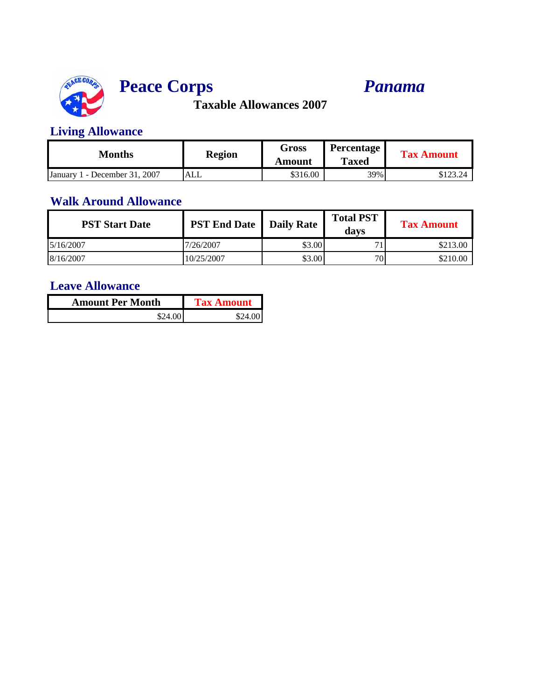

# **Peace Corps** *Panama*

**Taxable Allowances 2007**

### **Living Allowance**

| Months                         | <b>Region</b> | Gross<br>Amount | <b>Percentage</b><br><b>Taxed</b> | <b>Tax Amount</b> |
|--------------------------------|---------------|-----------------|-----------------------------------|-------------------|
| - December 31, 2007<br>January | ALL           | \$316.00        | 39%                               | $0.122$ $0.1$     |

#### **Walk Around Allowance**

| <b>PST Start Date</b> | <b>PST End Date</b>   Daily Rate |        | <b>Total PST</b><br>davs | <b>Tax Amount</b> |
|-----------------------|----------------------------------|--------|--------------------------|-------------------|
| 5/16/2007             | 7/26/2007                        | \$3.00 | 71                       | \$213.00          |
| 8/16/2007             | 10/25/2007                       | \$3.00 | 701                      | \$210.00          |

| <b>Amount Per Month</b> | <b>Tax Amount</b> |
|-------------------------|-------------------|
| \$24.00                 | \$24.00           |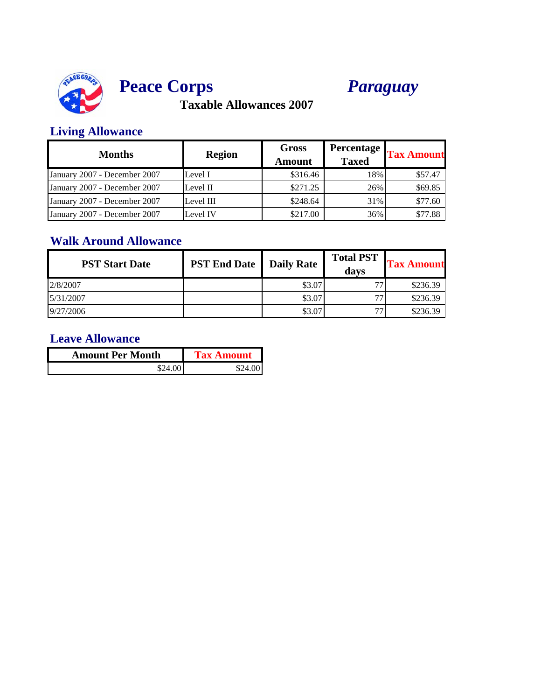





### **Living Allowance**

| <b>Months</b>                | <b>Region</b> | Gross<br><b>Amount</b> | Percentage<br><b>Taxed</b> | <b>Tax Amount</b> |
|------------------------------|---------------|------------------------|----------------------------|-------------------|
| January 2007 - December 2007 | Level I       | \$316.46               | 18%                        | \$57.47           |
| January 2007 - December 2007 | Level II      | \$271.25               | 26%                        | \$69.85           |
| January 2007 - December 2007 | Level III     | \$248.64               | 31%                        | \$77.60           |
| January 2007 - December 2007 | Level IV      | \$217.00               | 36%                        | \$77.88           |

## **Walk Around Allowance**

| <b>PST Start Date</b> | <b>PST End Date</b> | <b>Daily Rate</b> | <b>Total PST</b><br>davs | <b>Tax Amount</b> |
|-----------------------|---------------------|-------------------|--------------------------|-------------------|
| 2/8/2007              |                     | \$3.07            | 77                       | \$236.39          |
| 5/31/2007             |                     | \$3.07            | 77                       | \$236.39          |
| 9/27/2006             |                     | \$3.07            | 77                       | \$236.39          |

| <b>Amount Per Month</b> | <b>Tax Amount</b> |  |
|-------------------------|-------------------|--|
| \$24.00'                | \$24.00           |  |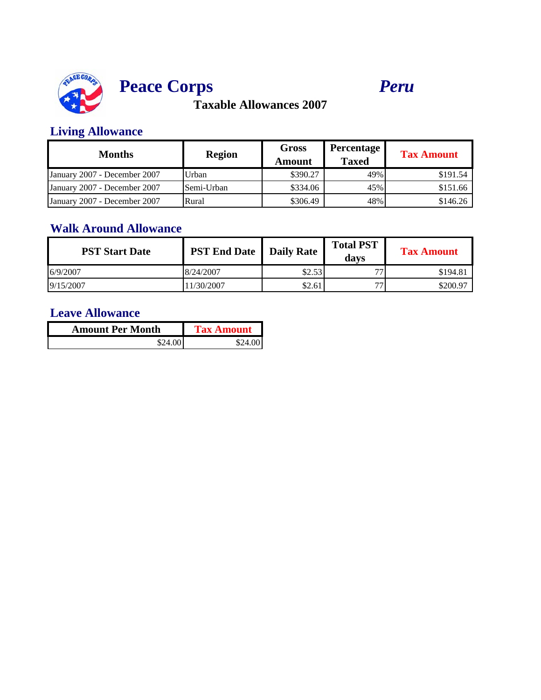

# **Peace Corps** *Peru*

**Taxable Allowances 2007**

### **Living Allowance**

| Months                       | <b>Region</b> | <b>Gross</b><br>Amount | Percentage<br><b>Taxed</b> | <b>Tax Amount</b> |
|------------------------------|---------------|------------------------|----------------------------|-------------------|
| January 2007 - December 2007 | Urban         | \$390.27               | 49%                        | \$191.54          |
| January 2007 - December 2007 | Semi-Urban    | \$334.06               | 45%                        | \$151.66          |
| January 2007 - December 2007 | Rural         | \$306.49               | 48%                        | \$146.26          |

### **Walk Around Allowance**

| <b>PST Start Date</b> | <b>PST End Date</b> Daily Rate |        | <b>Total PST</b><br>davs | <b>Tax Amount</b> |
|-----------------------|--------------------------------|--------|--------------------------|-------------------|
| 6/9/2007              | 8/24/2007                      | \$2.53 | 77                       | \$194.81          |
| 9/15/2007             | 1/30/2007                      | \$2.61 | 77                       | \$200.97          |

| <b>Amount Per Month</b> | <b>Tax Amount</b> |  |
|-------------------------|-------------------|--|
| \$24.00                 | \$24.00           |  |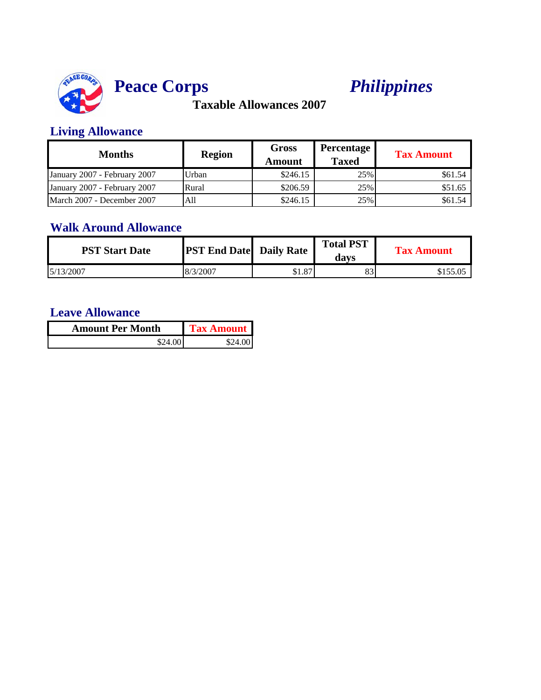

# **Peace Corps** *Philippines*

**Taxable Allowances 2007**

### **Living Allowance**

| <b>Months</b>                | <b>Region</b> | Gross<br>Amount | <b>Percentage</b><br><b>Taxed</b> | <b>Tax Amount</b> |
|------------------------------|---------------|-----------------|-----------------------------------|-------------------|
| January 2007 - February 2007 | Urban         | \$246.15        | 25%                               | \$61.54           |
| January 2007 - February 2007 | Rural         | \$206.59        | 25%                               | \$51.65           |
| March 2007 - December 2007   | All           | \$246.15        | 25%                               | \$61.54           |

### **Walk Around Allowance**

| <b>PST Start Date</b> | <b>PST End Date</b> Daily Rate |        | <b>Total PST</b><br>davs | <b>Tax Amount</b> |
|-----------------------|--------------------------------|--------|--------------------------|-------------------|
| 5/13/2007             | 8/3/2007                       | \$1.87 | 83                       |                   |

| <b>Amount Per Month</b> | <b>Tax Amount</b> |  |
|-------------------------|-------------------|--|
| \$24.00                 | \$24.00           |  |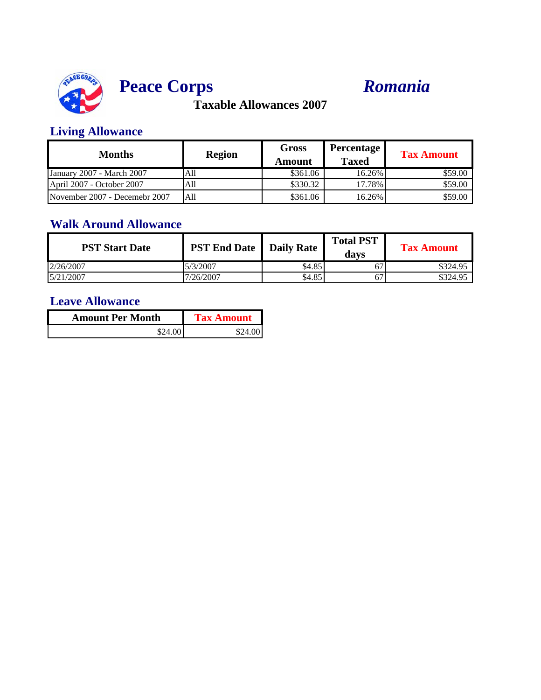



### **Living Allowance**

| <b>Months</b>                 | <b>Region</b> | <b>Gross</b><br>Amount | Percentage<br><b>Taxed</b> | <b>Tax Amount</b> |
|-------------------------------|---------------|------------------------|----------------------------|-------------------|
| January 2007 - March 2007     | All           | \$361.06               | 16.26%                     | \$59.00           |
| April 2007 - October 2007     | A11           | \$330.32               | 17.78%                     | \$59.00           |
| November 2007 - Decemebr 2007 | All           | \$361.06               | 16.26%                     | \$59.00           |

### **Walk Around Allowance**

| <b>PST Start Date</b> | <b>PST End Date</b>   Daily Rate |        | <b>Total PST</b><br>davs | <b>Tax Amount</b> |
|-----------------------|----------------------------------|--------|--------------------------|-------------------|
| 2/26/2007             | 5/3/2007                         | \$4.85 | б.                       | \$324.95          |
| 5/21/2007             | 7/26/2007                        | \$4.85 | 67                       | \$324.95          |

| <b>Amount Per Month</b> | <b>Tax Amount</b> |
|-------------------------|-------------------|
| \$24.00                 | \$24.001          |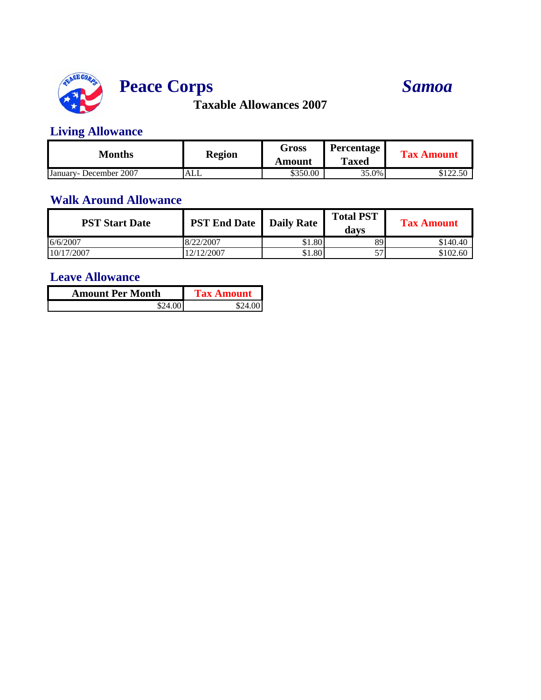

# **Peace Corps**

# *Samoa*

**Taxable Allowances 2007**

### **Living Allowance**

| Months                  | <b>Region</b> | Gross    | Percentage   | <b>Tax Amount</b>             |
|-------------------------|---------------|----------|--------------|-------------------------------|
|                         |               | Amount   | <b>Taxed</b> |                               |
| January - December 2007 | <b>ALL</b>    | \$350.00 | 35.0%        | <u> ሰ1 ገባ</u><br>ل و کارکال ل |

#### **Walk Around Allowance**

| <b>PST Start Date</b> | <b>PST End Date</b>   Daily Rate |        | <b>Total PST</b><br>davs | <b>Tax Amount</b> |
|-----------------------|----------------------------------|--------|--------------------------|-------------------|
| 6/6/2007              | 8/22/2007                        | \$1.80 | 89                       | \$140.40          |
| 10/17/2007            | 2/12/2007                        | \$1.80 | 57                       | \$102.60          |

| <b>Amount Per Month</b> | <b>Tax Amount</b> |  |
|-------------------------|-------------------|--|
|                         |                   |  |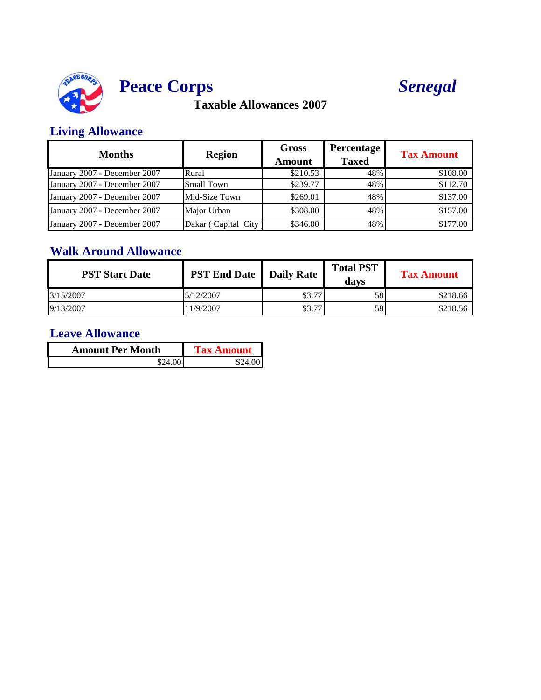

# **Peace Corps**



# **Taxable Allowances 2007**

### **Living Allowance**

| <b>Months</b>                | <b>Region</b>        | <b>Gross</b><br><b>Amount</b> | <b>Percentage</b><br><b>Taxed</b> | <b>Tax Amount</b> |
|------------------------------|----------------------|-------------------------------|-----------------------------------|-------------------|
| January 2007 - December 2007 | Rural                | \$210.53                      | 48%                               | \$108.00          |
| January 2007 - December 2007 | <b>Small Town</b>    | \$239.77                      | 48%                               | \$112.70          |
| January 2007 - December 2007 | Mid-Size Town        | \$269.01                      | 48%                               | \$137.00          |
| January 2007 - December 2007 | Major Urban          | \$308.00                      | 48%                               | \$157.00          |
| January 2007 - December 2007 | Dakar (Capital City) | \$346.00                      | 48%                               | \$177.00          |

## **Walk Around Allowance**

| <b>PST Start Date</b> | <b>PST End Date</b>   Daily Rate |        | <b>Total PST</b><br>davs | <b>Tax Amount</b> |
|-----------------------|----------------------------------|--------|--------------------------|-------------------|
| 3/15/2007             | 5/12/2007                        | \$3.77 | 58                       | \$218.66          |
| 9/13/2007             | 1/9/2007                         | \$3.77 | 58                       | \$218.56          |

| <b>Amount Per Month</b> | <b>Tax Amount</b> |
|-------------------------|-------------------|
|                         |                   |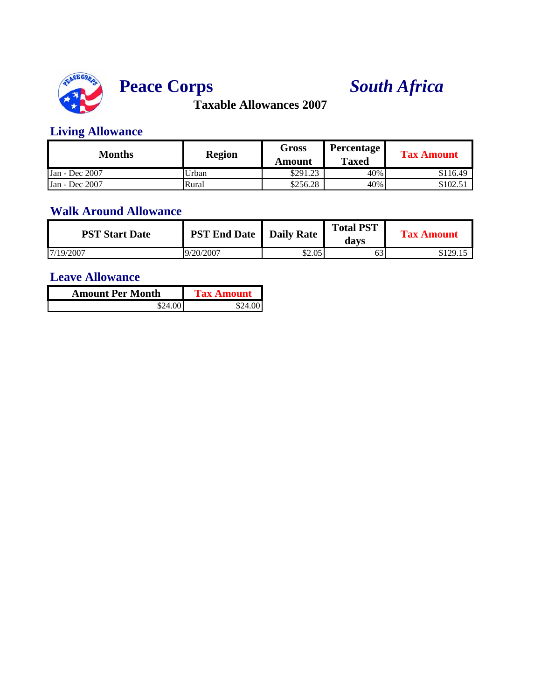



### **Living Allowance**

| Months         | <b>Region</b> | <b>Gross</b><br>Amount | Percentage<br><b>Taxed</b> | <b>Tax Amount</b> |
|----------------|---------------|------------------------|----------------------------|-------------------|
| Jan - Dec 2007 | Urban         | \$291.23               | 40%                        | \$116.49          |
| Jan - Dec 2007 | Rural         | \$256.28               | 40%                        | \$102.51          |

#### **Walk Around Allowance**

| <b>PST Start Date</b> | <b>PST End Date</b>   Daily Rate |        | <b>Total PST</b><br>davs | <b>Tax Amount</b> |
|-----------------------|----------------------------------|--------|--------------------------|-------------------|
| 7/19/2007             | 9/20/2007                        | \$2.05 | 63                       | \$129.15          |

| <b>Amount Per Month</b> | Tax Amount |  |
|-------------------------|------------|--|
|                         |            |  |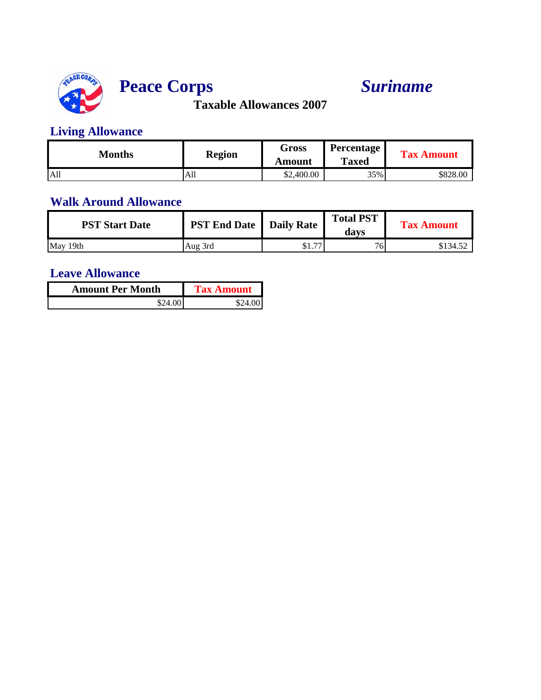

# **Peace Corps** *Suriname*

**Taxable Allowances 2007**

## **Living Allowance**

| Months          | <b>Region</b> | Gross<br>Amount | <b>Percentage</b><br><b>Taxed</b> | <b>Tax Amount</b> |
|-----------------|---------------|-----------------|-----------------------------------|-------------------|
| A <sub>11</sub> | All           | \$2,400.00      | 35%                               | \$828.00          |

### **Walk Around Allowance**

| <b>PST Start Date</b> | <b>PST End Date</b>   Daily Rate |                                | <b>Total PST</b><br>davs | <b>Tax Amount</b> |
|-----------------------|----------------------------------|--------------------------------|--------------------------|-------------------|
| May 19th              | Aug 3rd                          | $\overline{a}$<br>Φ1<br>، ۱۰ ۹ | 76.                      | \$134.52          |

| <b>Amount Per Month</b> | <b>Tax Amount</b> |
|-------------------------|-------------------|
| \$24.00"                | \$24.00           |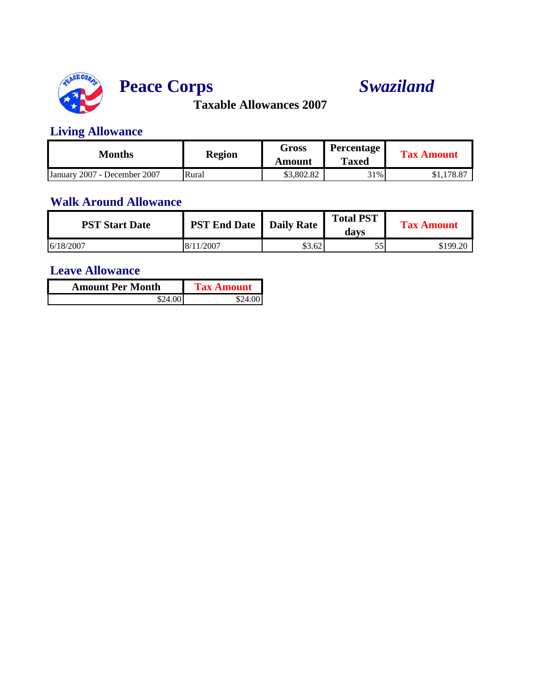

# **Peace Corps** *Swaziland*

**Taxable Allowances 2007**

### **Living Allowance**

| Months                       | <b>Region</b> | Gross<br>Amount | <b>Percentage</b><br><b>Taxed</b> | <b>Tax Amount</b>     |
|------------------------------|---------------|-----------------|-----------------------------------|-----------------------|
| January 2007 - December 2007 | Rural         | \$3,802.82      | 31%                               | 178.87<br><b>ΦΙ,Ι</b> |

### **Walk Around Allowance**

| <b>PST Start Date</b> | <b>PST End Date</b>   Daily Rate |        | <b>Total PST</b><br>davs | <b>Tax Amount</b> |
|-----------------------|----------------------------------|--------|--------------------------|-------------------|
| 6/18/2007             | 8/11/2007                        | \$3.62 | 55                       | \$199.20          |

| <b>Amount Per Month</b> | <b>Tax Amount</b> |
|-------------------------|-------------------|
| \$24.001                |                   |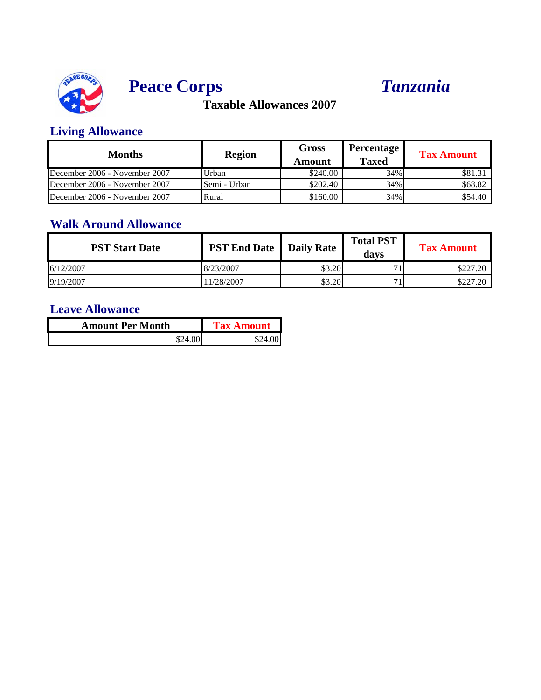



### **Living Allowance**

| <b>Months</b>                 | <b>Region</b> | Gross<br>Amount | Percentage l<br><b>Taxed</b> | <b>Tax Amount</b> |
|-------------------------------|---------------|-----------------|------------------------------|-------------------|
| December 2006 - November 2007 | Urban         | \$240.00        | 34%                          | \$81.31           |
| December 2006 - November 2007 | Semi - Urban  | \$202.40        | 34%                          | \$68.82           |
| December 2006 - November 2007 | Rural         | \$160.00        | 34%                          | \$54.40           |

### **Walk Around Allowance**

| <b>PST Start Date</b> | <b>PST End Date   Daily Rate  </b> |        | <b>Total PST</b><br>davs | <b>Tax Amount</b> |
|-----------------------|------------------------------------|--------|--------------------------|-------------------|
| 6/12/2007             | 8/23/2007                          | \$3.20 | −                        | \$227.20          |
| 9/19/2007             | 1/28/2007                          | \$3.20 | −                        | \$227.20          |

| <b>Amount Per Month</b> | <b>Tax Amount</b> |  |
|-------------------------|-------------------|--|
| \$24.001                | \$24              |  |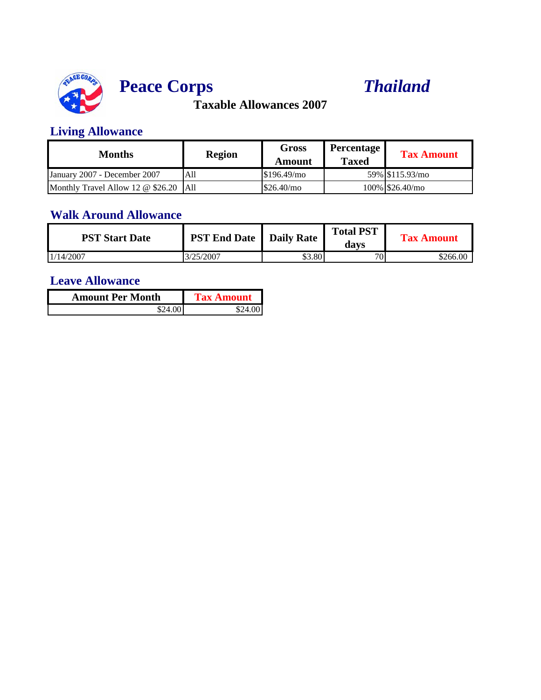

# **Peace Corps** *Thailand*

**Taxable Allowances 2007**

### **Living Allowance**

| Months                                   | <b>Region</b> | Gross<br>Amount | <b>Percentage</b><br><b>Taxed</b> | <b>Tax Amount</b> |
|------------------------------------------|---------------|-----------------|-----------------------------------|-------------------|
| January 2007 - December 2007             | All           | \$196.49/mo     |                                   | 59% \$115.93/mo   |
| Monthly Travel Allow 12 $\omega$ \$26.20 | <b>A11</b>    | \$26.40/mo      |                                   | 100% S26.40/mo    |

#### **Walk Around Allowance**

| <b>PST Start Date</b> | <b>PST End Date</b>   Daily Rate |        | <b>Total PST</b><br>davs | <b>Tax Amount</b> |
|-----------------------|----------------------------------|--------|--------------------------|-------------------|
| 1/14/2007             | 3/25/2007                        | \$3.80 | 70 <sub>1</sub>          | \$266.00          |

| <b>Amount Per Month</b> | <b>Tax Amount</b> |
|-------------------------|-------------------|
| \$24.00.                |                   |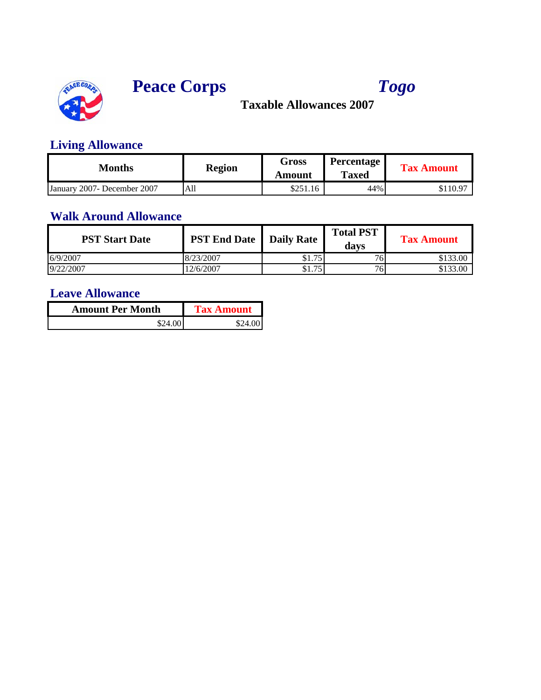





## **Living Allowance**

| Months                       | <b>Region</b> | Gross<br>Amount | <b>Percentage</b><br><b>Taxed</b> | <b>Tax Amount</b> |
|------------------------------|---------------|-----------------|-----------------------------------|-------------------|
| January 2007 - December 2007 | All           | \$251.16        | 44%                               | \$110.97          |

### **Walk Around Allowance**

| <b>PST Start Date</b> | <b>PST End Date</b>   Daily Rate |              | <b>Total PST</b><br>davs | <b>Tax Amount</b> |
|-----------------------|----------------------------------|--------------|--------------------------|-------------------|
| 6/9/2007              | 8/23/2007                        | 75<br>\$1.75 | 76                       | \$133.00          |
| 9/22/2007             | 12/6/2007                        | 75<br>\$1.75 | 76.                      | \$133.00          |

| <b>Amount Per Month</b> | <b>Tax Amount</b> |
|-------------------------|-------------------|
| \$24.00                 | \$24.00           |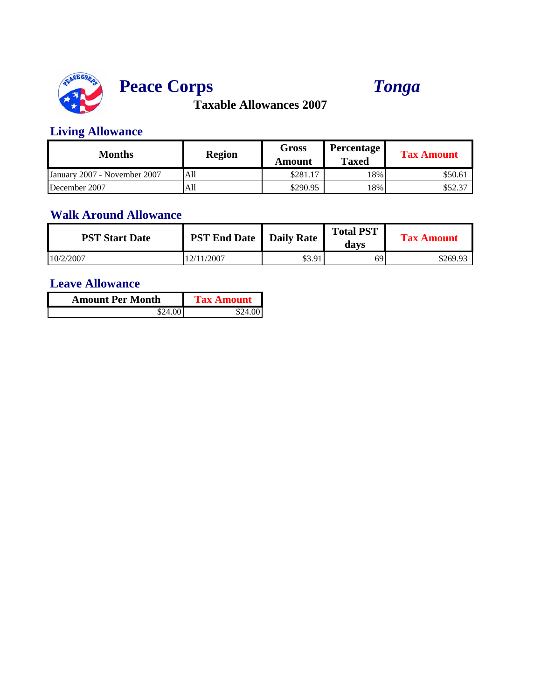

# **Peace Corps** *Tonga*

**Taxable Allowances 2007**

### **Living Allowance**

| Months                       | <b>Region</b> | Gross<br>Amount | Percentage<br><b>Taxed</b> | <b>Tax Amount</b> |
|------------------------------|---------------|-----------------|----------------------------|-------------------|
| January 2007 - November 2007 | All           | \$281.17        | 18%                        | \$50.61           |
| December 2007                | All           | \$290.95        | 18%                        | \$52.37           |

#### **Walk Around Allowance**

| <b>PST Start Date</b> | <b>PST End Date</b> | <b>Daily Rate</b> | <b>Total PST</b><br>davs | <b>Tax Amount</b> |
|-----------------------|---------------------|-------------------|--------------------------|-------------------|
| 10/2/2007             | 12/11/2007          | \$3.91            | 69 <sup>'</sup>          | \$269.93          |

| <b>Amount Per Month</b> | <b>Tax Amount</b> |
|-------------------------|-------------------|
|                         |                   |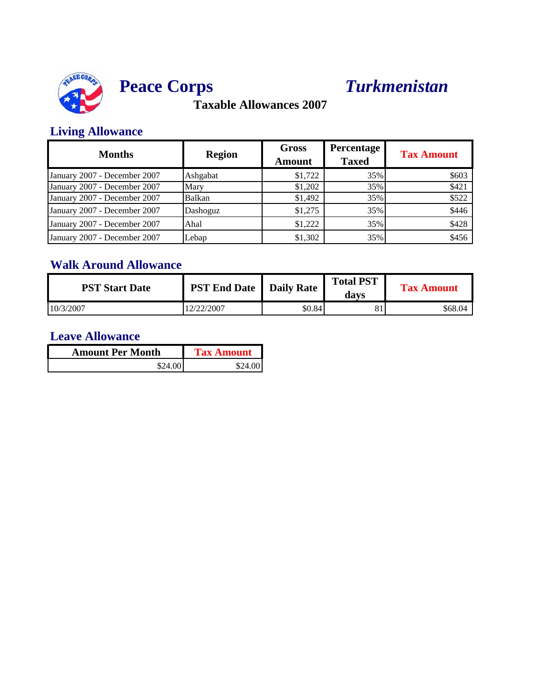

# **Peace Corps** *Turkmenistan*

**Taxable Allowances 2007**

### **Living Allowance**

| <b>Months</b>                | <b>Region</b> | <b>Gross</b><br><b>Amount</b> | <b>Percentage</b><br><b>Taxed</b> | <b>Tax Amount</b> |
|------------------------------|---------------|-------------------------------|-----------------------------------|-------------------|
| January 2007 - December 2007 | Ashgabat      | \$1,722                       | 35%                               | \$603             |
| January 2007 - December 2007 | Mary          | \$1,202                       | 35%                               | \$421             |
| January 2007 - December 2007 | Balkan        | \$1,492                       | 35%                               | \$522             |
| January 2007 - December 2007 | Dashoguz      | \$1,275                       | 35%                               | \$446             |
| January 2007 - December 2007 | Ahal          | \$1,222                       | 35%                               | \$428             |
| January 2007 - December 2007 | Lebap         | \$1,302                       | 35%                               | \$456             |

### **Walk Around Allowance**

| <b>PST Start Date</b> | <b>PST End Date   Daily Rate  </b> |        | <b>Total PST</b><br>davs | <b>Tax Amount</b> |
|-----------------------|------------------------------------|--------|--------------------------|-------------------|
| 10/3/2007             | 2/22/2007                          | \$0.84 | 81                       | \$68.04           |

| <b>Amount Per Month</b> | <b>Tax Amount</b> |
|-------------------------|-------------------|
| \$24.00                 | \$24.00           |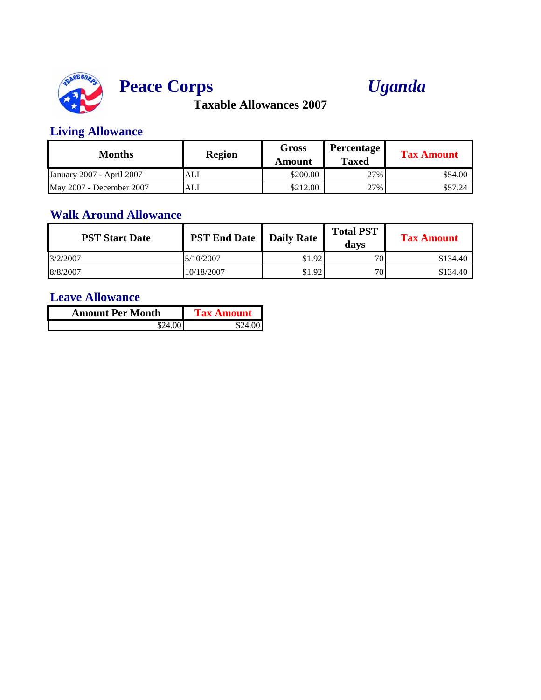



### **Living Allowance**

| Months                    | <b>Region</b> | Gross<br>Amount | Percentage<br><b>Taxed</b> | <b>Tax Amount</b> |
|---------------------------|---------------|-----------------|----------------------------|-------------------|
| January 2007 - April 2007 | ALL           | \$200.00        | 27%                        | \$54.00           |
| May 2007 - December 2007  | ALL           | \$212.00        | 27%                        | \$57.24           |

#### **Walk Around Allowance**

| <b>PST Start Date</b> | <b>PST End Date</b> | <b>Daily Rate</b> | <b>Total PST</b><br>davs | <b>Tax Amount</b> |
|-----------------------|---------------------|-------------------|--------------------------|-------------------|
| 3/2/2007              | 5/10/2007           | \$1.92            | 70                       | \$134.40          |
| 8/8/2007              | 10/18/2007          | \$1.92            | 70                       | \$134.40          |

| <b>Amount Per Month</b> | <b>Tax Amount</b> |
|-------------------------|-------------------|
| \$24.00                 | \$24.001          |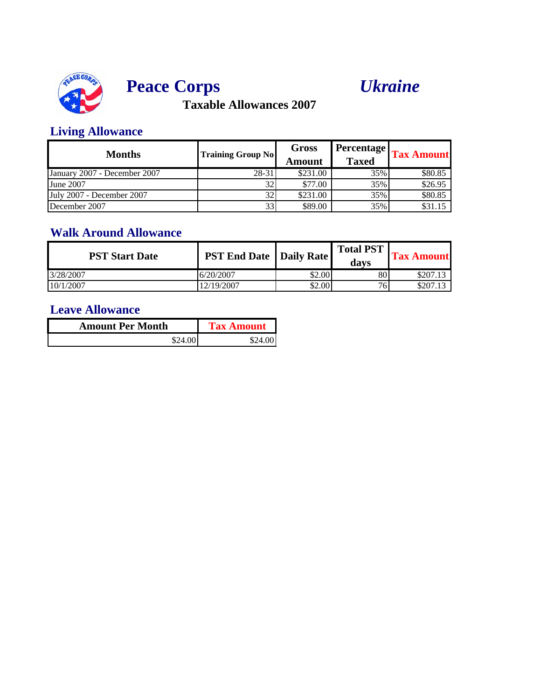





### **Living Allowance**

| <b>Months</b>                | <b>Training Group No</b> | Gross<br>Amount | <b>Percentage</b><br><b>Taxed</b> | <b>Tax Amount</b> |
|------------------------------|--------------------------|-----------------|-----------------------------------|-------------------|
| January 2007 - December 2007 | 28-31                    | \$231.00        | 35%                               | \$80.85           |
| June 2007                    |                          | \$77.00         | 35%                               | \$26.95           |
| July 2007 - December 2007    |                          | \$231.00        | 35%                               | \$80.85           |
| December 2007                |                          | \$89.00         | 35%                               | \$31.15           |

#### **Walk Around Allowance**

| <b>PST Start Date</b> | <b>PST End Date   Daily Rate  </b> |        | <b>Total PST</b><br>davs | <b>Tax Amount</b> |
|-----------------------|------------------------------------|--------|--------------------------|-------------------|
| 3/28/2007             | 6/20/2007                          | \$2.00 | 80.                      | \$207.13          |
| 10/1/2007             | 12/19/2007                         | \$2.00 | 76                       | \$207.13          |

| <b>Amount Per Month</b> | <b>Tax Amount</b> |  |
|-------------------------|-------------------|--|
| \$24.001                | \$24.00           |  |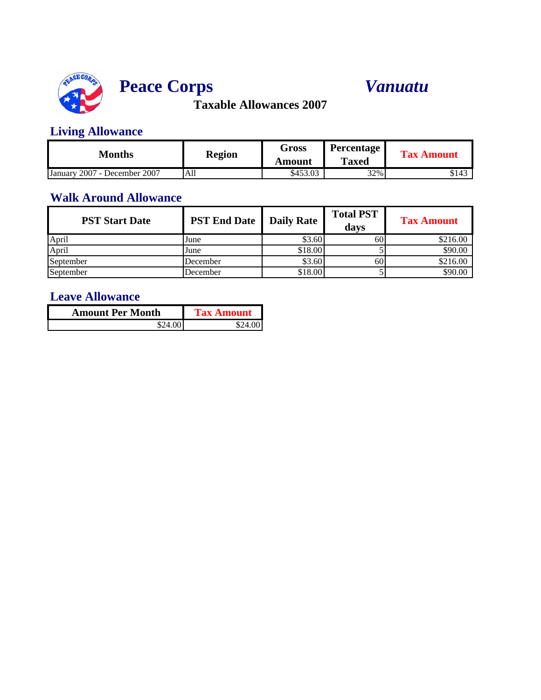

# **Peace Corps** *Vanuatu*

**Taxable Allowances 2007**

### **Living Allowance**

| Months                                      | <b>Region</b> | Gross    | <b>Percentage</b> | <b>Tax Amount</b> |
|---------------------------------------------|---------------|----------|-------------------|-------------------|
|                                             |               | Amount   | <b>Taxed</b>      |                   |
| 2007<br>7 - December 2007<br><b>January</b> | All           | \$453.03 | 32%               | \$143             |

### **Walk Around Allowance**

| <b>PST Start Date</b> | <b>PST End Date</b> | <b>Daily Rate</b> | <b>Total PST</b><br>davs | <b>Tax Amount</b> |
|-----------------------|---------------------|-------------------|--------------------------|-------------------|
| April                 | June                | \$3.60            | 60                       | \$216.00          |
| April                 | June                | \$18.00           |                          | \$90.00           |
| September             | December            | \$3.60            | 60                       | \$216.00          |
| September             | December            | \$18.00           |                          | \$90.00           |

| <b>Amount Per Month</b> | <b>Tax Amount</b> |
|-------------------------|-------------------|
| \$24.00                 | 824               |